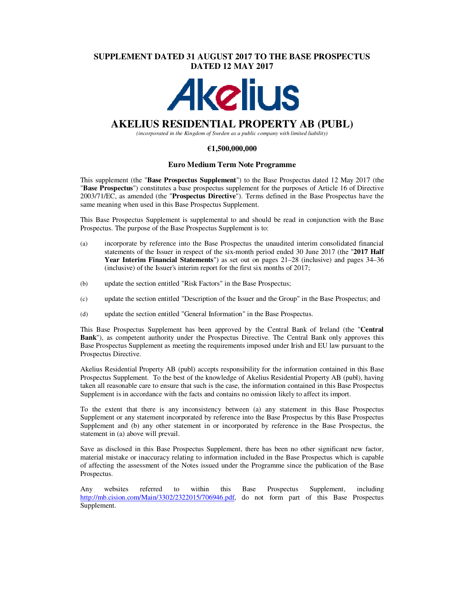## **SUPPLEMENT DATED 31 AUGUST 2017 TO THE BASE PROSPECTUS DATED 12 MAY 2017**



# **AKELIUS RESIDENTIAL PROPERTY AB (PUBL)**

*(incorporated in the Kingdom of Sweden as a public company with limited liability)* 

## **€1,500,000,000**

## **Euro Medium Term Note Programme**

This supplement (the "**Base Prospectus Supplement**") to the Base Prospectus dated 12 May 2017 (the "**Base Prospectus**") constitutes a base prospectus supplement for the purposes of Article 16 of Directive 2003/71/EC, as amended (the "**Prospectus Directive**"). Terms defined in the Base Prospectus have the same meaning when used in this Base Prospectus Supplement.

This Base Prospectus Supplement is supplemental to and should be read in conjunction with the Base Prospectus. The purpose of the Base Prospectus Supplement is to:

- (a) incorporate by reference into the Base Prospectus the unaudited interim consolidated financial statements of the Issuer in respect of the six-month period ended 30 June 2017 (the "**2017 Half Year Interim Financial Statements**") as set out on pages 21–28 (inclusive) and pages 34–36 (inclusive) of the Issuer's interim report for the first six months of 2017;
- (b) update the section entitled "Risk Factors" in the Base Prospectus;
- (c) update the section entitled "Description of the Issuer and the Group" in the Base Prospectus; and
- (d) update the section entitled "General Information" in the Base Prospectus.

This Base Prospectus Supplement has been approved by the Central Bank of Ireland (the "**Central Bank**"), as competent authority under the Prospectus Directive. The Central Bank only approves this Base Prospectus Supplement as meeting the requirements imposed under Irish and EU law pursuant to the Prospectus Directive.

Akelius Residential Property AB (publ) accepts responsibility for the information contained in this Base Prospectus Supplement. To the best of the knowledge of Akelius Residential Property AB (publ), having taken all reasonable care to ensure that such is the case, the information contained in this Base Prospectus Supplement is in accordance with the facts and contains no omission likely to affect its import.

To the extent that there is any inconsistency between (a) any statement in this Base Prospectus Supplement or any statement incorporated by reference into the Base Prospectus by this Base Prospectus Supplement and (b) any other statement in or incorporated by reference in the Base Prospectus, the statement in (a) above will prevail.

Save as disclosed in this Base Prospectus Supplement, there has been no other significant new factor, material mistake or inaccuracy relating to information included in the Base Prospectus which is capable of affecting the assessment of the Notes issued under the Programme since the publication of the Base Prospectus.

Any websites referred to within this Base Prospectus Supplement, including http://mb.cision.com/Main/3302/2322015/706946.pdf, do not form part of this Base Prospectus Supplement.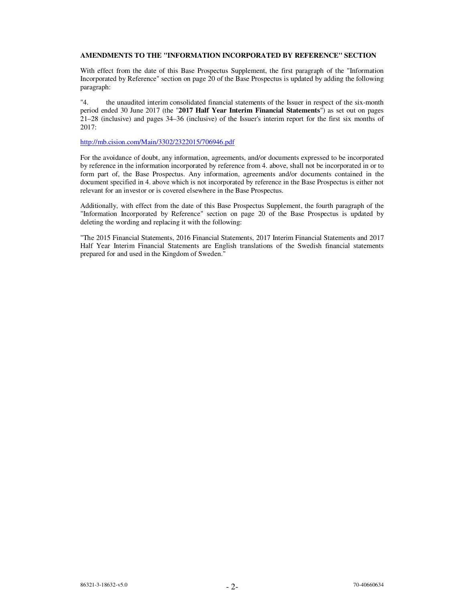## **AMENDMENTS TO THE "INFORMATION INCORPORATED BY REFERENCE" SECTION**

With effect from the date of this Base Prospectus Supplement, the first paragraph of the "Information Incorporated by Reference" section on page 20 of the Base Prospectus is updated by adding the following paragraph:

"4. the unaudited interim consolidated financial statements of the Issuer in respect of the six-month period ended 30 June 2017 (the "**2017 Half Year Interim Financial Statements**") as set out on pages 21–28 (inclusive) and pages 34–36 (inclusive) of the Issuer's interim report for the first six months of 2017:

## http://mb.cision.com/Main/3302/2322015/706946.pdf

For the avoidance of doubt, any information, agreements, and/or documents expressed to be incorporated by reference in the information incorporated by reference from 4. above, shall not be incorporated in or to form part of, the Base Prospectus. Any information, agreements and/or documents contained in the document specified in 4. above which is not incorporated by reference in the Base Prospectus is either not relevant for an investor or is covered elsewhere in the Base Prospectus.

Additionally, with effect from the date of this Base Prospectus Supplement, the fourth paragraph of the "Information Incorporated by Reference" section on page 20 of the Base Prospectus is updated by deleting the wording and replacing it with the following:

"The 2015 Financial Statements, 2016 Financial Statements, 2017 Interim Financial Statements and 2017 Half Year Interim Financial Statements are English translations of the Swedish financial statements prepared for and used in the Kingdom of Sweden."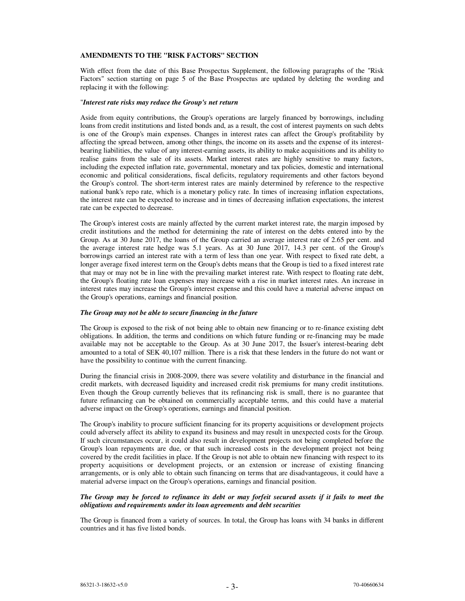## **AMENDMENTS TO THE "RISK FACTORS" SECTION**

With effect from the date of this Base Prospectus Supplement, the following paragraphs of the "Risk Factors" section starting on page 5 of the Base Prospectus are updated by deleting the wording and replacing it with the following:

#### "*Interest rate risks may reduce the Group's net return*

Aside from equity contributions, the Group's operations are largely financed by borrowings, including loans from credit institutions and listed bonds and, as a result, the cost of interest payments on such debts is one of the Group's main expenses. Changes in interest rates can affect the Group's profitability by affecting the spread between, among other things, the income on its assets and the expense of its interestbearing liabilities, the value of any interest-earning assets, its ability to make acquisitions and its ability to realise gains from the sale of its assets. Market interest rates are highly sensitive to many factors, including the expected inflation rate, governmental, monetary and tax policies, domestic and international economic and political considerations, fiscal deficits, regulatory requirements and other factors beyond the Group's control. The short-term interest rates are mainly determined by reference to the respective national bank's repo rate, which is a monetary policy rate. In times of increasing inflation expectations, the interest rate can be expected to increase and in times of decreasing inflation expectations, the interest rate can be expected to decrease.

The Group's interest costs are mainly affected by the current market interest rate, the margin imposed by credit institutions and the method for determining the rate of interest on the debts entered into by the Group. As at 30 June 2017, the loans of the Group carried an average interest rate of 2.65 per cent. and the average interest rate hedge was 5.1 years. As at 30 June 2017, 14.3 per cent. of the Group's borrowings carried an interest rate with a term of less than one year. With respect to fixed rate debt, a longer average fixed interest term on the Group's debts means that the Group is tied to a fixed interest rate that may or may not be in line with the prevailing market interest rate. With respect to floating rate debt, the Group's floating rate loan expenses may increase with a rise in market interest rates. An increase in interest rates may increase the Group's interest expense and this could have a material adverse impact on the Group's operations, earnings and financial position.

## *The Group may not be able to secure financing in the future*

The Group is exposed to the risk of not being able to obtain new financing or to re-finance existing debt obligations. In addition, the terms and conditions on which future funding or re-financing may be made available may not be acceptable to the Group. As at 30 June 2017, the Issuer's interest-bearing debt amounted to a total of SEK 40,107 million. There is a risk that these lenders in the future do not want or have the possibility to continue with the current financing.

During the financial crisis in 2008-2009, there was severe volatility and disturbance in the financial and credit markets, with decreased liquidity and increased credit risk premiums for many credit institutions. Even though the Group currently believes that its refinancing risk is small, there is no guarantee that future refinancing can be obtained on commercially acceptable terms, and this could have a material adverse impact on the Group's operations, earnings and financial position.

The Group's inability to procure sufficient financing for its property acquisitions or development projects could adversely affect its ability to expand its business and may result in unexpected costs for the Group. If such circumstances occur, it could also result in development projects not being completed before the Group's loan repayments are due, or that such increased costs in the development project not being covered by the credit facilities in place. If the Group is not able to obtain new financing with respect to its property acquisitions or development projects, or an extension or increase of existing financing arrangements, or is only able to obtain such financing on terms that are disadvantageous, it could have a material adverse impact on the Group's operations, earnings and financial position.

## *The Group may be forced to refinance its debt or may forfeit secured assets if it fails to meet the obligations and requirements under its loan agreements and debt securities*

The Group is financed from a variety of sources. In total, the Group has loans with 34 banks in different countries and it has five listed bonds.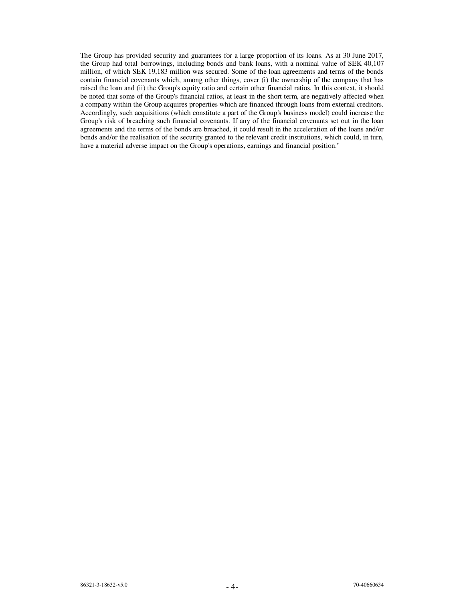The Group has provided security and guarantees for a large proportion of its loans. As at 30 June 2017, the Group had total borrowings, including bonds and bank loans, with a nominal value of SEK 40,107 million, of which SEK 19,183 million was secured. Some of the loan agreements and terms of the bonds contain financial covenants which, among other things, cover (i) the ownership of the company that has raised the loan and (ii) the Group's equity ratio and certain other financial ratios. In this context, it should be noted that some of the Group's financial ratios, at least in the short term, are negatively affected when a company within the Group acquires properties which are financed through loans from external creditors. Accordingly, such acquisitions (which constitute a part of the Group's business model) could increase the Group's risk of breaching such financial covenants. If any of the financial covenants set out in the loan agreements and the terms of the bonds are breached, it could result in the acceleration of the loans and/or bonds and/or the realisation of the security granted to the relevant credit institutions, which could, in turn, have a material adverse impact on the Group's operations, earnings and financial position."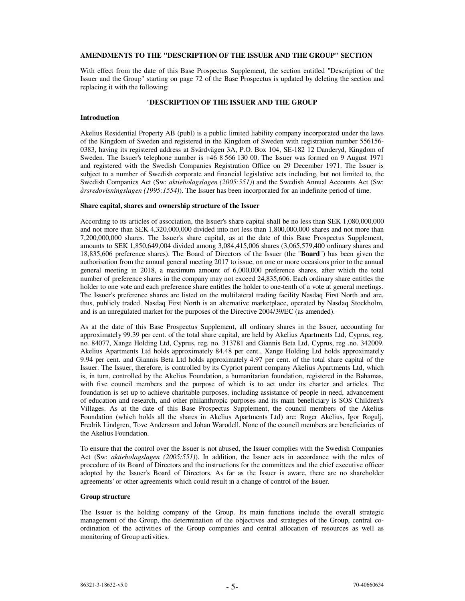### **AMENDMENTS TO THE "DESCRIPTION OF THE ISSUER AND THE GROUP" SECTION**

With effect from the date of this Base Prospectus Supplement, the section entitled "Description of the Issuer and the Group" starting on page 72 of the Base Prospectus is updated by deleting the section and replacing it with the following:

### "**DESCRIPTION OF THE ISSUER AND THE GROUP**

#### **Introduction**

Akelius Residential Property AB (publ) is a public limited liability company incorporated under the laws of the Kingdom of Sweden and registered in the Kingdom of Sweden with registration number 556156- 0383, having its registered address at Svärdvägen 3A, P.O. Box 104, SE-182 12 Danderyd, Kingdom of Sweden. The Issuer's telephone number is +46 8 566 130 00. The Issuer was formed on 9 August 1971 and registered with the Swedish Companies Registration Office on 29 December 1971. The Issuer is subject to a number of Swedish corporate and financial legislative acts including, but not limited to, the Swedish Companies Act (Sw: *aktiebolagslagen (2005:551)*) and the Swedish Annual Accounts Act (Sw: *årsredovisningslagen (1995:1554)*). The Issuer has been incorporated for an indefinite period of time.

#### **Share capital, shares and ownership structure of the Issuer**

According to its articles of association, the Issuer's share capital shall be no less than SEK 1,080,000,000 and not more than SEK 4,320,000,000 divided into not less than 1,800,000,000 shares and not more than 7,200,000,000 shares. The Issuer's share capital, as at the date of this Base Prospectus Supplement, amounts to SEK 1,850,649,004 divided among 3,084,415,006 shares (3,065,579,400 ordinary shares and 18,835,606 preference shares). The Board of Directors of the Issuer (the "**Board**") has been given the authorisation from the annual general meeting 2017 to issue, on one or more occasions prior to the annual general meeting in 2018, a maximum amount of 6,000,000 preference shares, after which the total number of preference shares in the company may not exceed 24,835,606. Each ordinary share entitles the holder to one vote and each preference share entitles the holder to one-tenth of a vote at general meetings. The Issuer's preference shares are listed on the multilateral trading facility Nasdaq First North and are, thus, publicly traded. Nasdaq First North is an alternative marketplace, operated by Nasdaq Stockholm, and is an unregulated market for the purposes of the Directive 2004/39/EC (as amended).

As at the date of this Base Prospectus Supplement, all ordinary shares in the Issuer, accounting for approximately 99.39 per cent. of the total share capital, are held by Akelius Apartments Ltd, Cyprus, reg. no. 84077, Xange Holding Ltd, Cyprus, reg. no. 313781 and Giannis Beta Ltd, Cyprus, reg .no. 342009. Akelius Apartments Ltd holds approximately 84.48 per cent., Xange Holding Ltd holds approximately 9.94 per cent. and Giannis Beta Ltd holds approximately 4.97 per cent. of the total share capital of the Issuer. The Issuer, therefore, is controlled by its Cypriot parent company Akelius Apartments Ltd, which is, in turn, controlled by the Akelius Foundation, a humanitarian foundation, registered in the Bahamas, with five council members and the purpose of which is to act under its charter and articles. The foundation is set up to achieve charitable purposes, including assistance of people in need, advancement of education and research, and other philanthropic purposes and its main beneficiary is SOS Children's Villages. As at the date of this Base Prospectus Supplement, the council members of the Akelius Foundation (which holds all the shares in Akelius Apartments Ltd) are: Roger Akelius, Igor Rogulj, Fredrik Lindgren, Tove Andersson and Johan Warodell. None of the council members are beneficiaries of the Akelius Foundation.

To ensure that the control over the Issuer is not abused, the Issuer complies with the Swedish Companies Act (Sw: *aktiebolagslagen (2005:551)*). In addition, the Issuer acts in accordance with the rules of procedure of its Board of Directors and the instructions for the committees and the chief executive officer adopted by the Issuer's Board of Directors. As far as the Issuer is aware, there are no shareholder agreements' or other agreements which could result in a change of control of the Issuer.

#### **Group structure**

The Issuer is the holding company of the Group. Its main functions include the overall strategic management of the Group, the determination of the objectives and strategies of the Group, central coordination of the activities of the Group companies and central allocation of resources as well as monitoring of Group activities.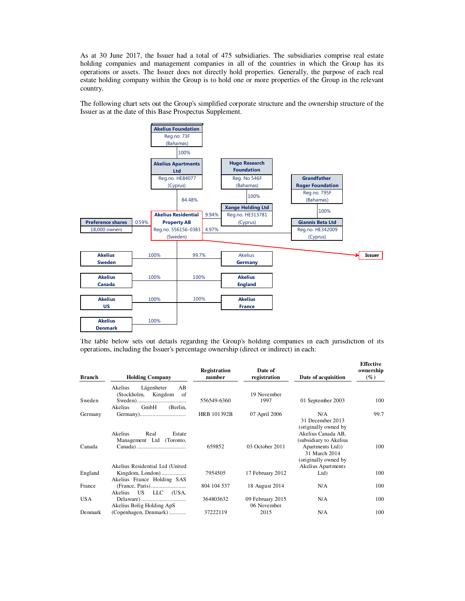As at 30 June 2017, the Issuer had a total of 475 subsidiaries. The subsidiaries comprise real estate holding companies and management companies in all of the countries in which the Group has its operations or assets. The Issuer does not directly hold properties. Generally, the purpose of each real estate holding company within the Group is to hold one or more properties of the Group in the relevant country.

The following chart sets out the Group's simplified corporate structure and the ownership structure of the Issuer as at the date of this Base Prospectus Supplement.



The table below sets out details regarding the Group's holding companies in each jurisdiction of its operations, including the Issuer's percentage ownership (direct or indirect) in each:

| <b>Holding Company</b>      | Registration<br>number                                                                                                                                                     | Date of<br>registration          | Date of acquisition                                        | <b>Effective</b><br>ownership<br>$(\%)$                                                                                                                                                                 |
|-----------------------------|----------------------------------------------------------------------------------------------------------------------------------------------------------------------------|----------------------------------|------------------------------------------------------------|---------------------------------------------------------------------------------------------------------------------------------------------------------------------------------------------------------|
| Lägenheter<br>AB<br>Akelius |                                                                                                                                                                            |                                  |                                                            |                                                                                                                                                                                                         |
|                             |                                                                                                                                                                            |                                  |                                                            |                                                                                                                                                                                                         |
|                             |                                                                                                                                                                            |                                  |                                                            | 100                                                                                                                                                                                                     |
| Akelius<br>GmbH<br>(Berlin, |                                                                                                                                                                            |                                  |                                                            |                                                                                                                                                                                                         |
|                             | HRB 101392B                                                                                                                                                                | 07 April 2006                    | N/A                                                        | 99.7                                                                                                                                                                                                    |
|                             |                                                                                                                                                                            |                                  |                                                            |                                                                                                                                                                                                         |
|                             |                                                                                                                                                                            |                                  |                                                            |                                                                                                                                                                                                         |
|                             |                                                                                                                                                                            |                                  |                                                            |                                                                                                                                                                                                         |
|                             |                                                                                                                                                                            |                                  |                                                            |                                                                                                                                                                                                         |
|                             |                                                                                                                                                                            |                                  |                                                            | 100                                                                                                                                                                                                     |
|                             |                                                                                                                                                                            |                                  |                                                            |                                                                                                                                                                                                         |
|                             |                                                                                                                                                                            |                                  |                                                            |                                                                                                                                                                                                         |
|                             |                                                                                                                                                                            |                                  |                                                            |                                                                                                                                                                                                         |
|                             |                                                                                                                                                                            |                                  |                                                            | 100                                                                                                                                                                                                     |
|                             |                                                                                                                                                                            |                                  |                                                            |                                                                                                                                                                                                         |
|                             | 804 104 537                                                                                                                                                                | 18 August 2014                   | N/A                                                        | 100                                                                                                                                                                                                     |
| US LLC (USA,<br>Akelius     |                                                                                                                                                                            |                                  |                                                            |                                                                                                                                                                                                         |
|                             | 364803632                                                                                                                                                                  | 09 February 2015                 | N/A                                                        | 100                                                                                                                                                                                                     |
| Akelius Bolig Holding ApS   |                                                                                                                                                                            | 06 November                      |                                                            |                                                                                                                                                                                                         |
| (Copenhagen, Denmark)       | 37222119                                                                                                                                                                   | 2015                             | N/A                                                        | 100                                                                                                                                                                                                     |
|                             | (Stockholm, Kingdom<br>of<br>Akelius<br>Real<br>Estate<br>Management Ltd<br>(Toronto,<br>Akelius Residential Ltd (United<br>Kingdom, London)<br>Akelius France Holding SAS | 556549-6360<br>659852<br>7954505 | 19 November<br>1997<br>03 October 2011<br>17 February 2012 | 01 September 2003<br>31 December 2013<br>(originally owned by<br>Akelius Canada AB,<br>(subsidiary to Akelius<br>Apartments Ltd))<br>31 March 2014<br>(originally owned by<br>Akelius Apartments<br>Ltd |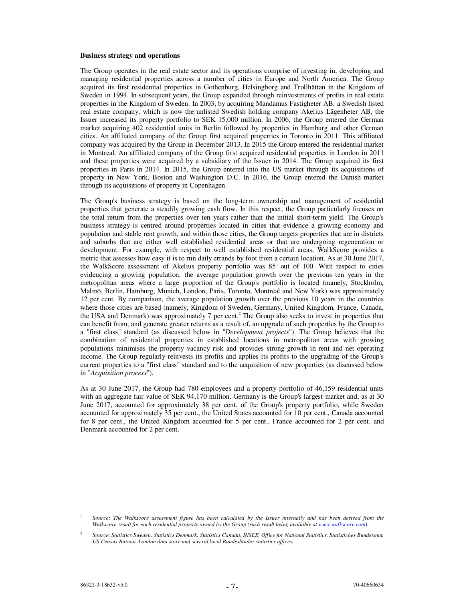#### **Business strategy and operations**

The Group operates in the real estate sector and its operations comprise of investing in, developing and managing residential properties across a number of cities in Europe and North America. The Group acquired its first residential properties in Gothenburg, Helsingborg and Trollhättan in the Kingdom of Sweden in 1994. In subsequent years, the Group expanded through reinvestments of profits in real estate properties in the Kingdom of Sweden. In 2003, by acquiring Mandamus Fastigheter AB, a Swedish listed real estate company, which is now the unlisted Swedish holding company Akelius Lägenheter AB, the Issuer increased its property portfolio to SEK 15,000 million. In 2006, the Group entered the German market acquiring 402 residential units in Berlin followed by properties in Hamburg and other German cities. An affiliated company of the Group first acquired properties in Toronto in 2011. This affiliated company was acquired by the Group in December 2013. In 2015 the Group entered the residential market in Montreal. An affiliated company of the Group first acquired residential properties in London in 2011 and these properties were acquired by a subsidiary of the Issuer in 2014. The Group acquired its first properties in Paris in 2014. In 2015, the Group entered into the US market through its acquisitions of property in New York, Boston and Washington D.C. In 2016, the Group entered the Danish market through its acquisitions of property in Copenhagen.

The Group's business strategy is based on the long-term ownership and management of residential properties that generate a steadily growing cash flow. In this respect, the Group particularly focuses on the total return from the properties over ten years rather than the initial short-term yield. The Group's business strategy is centred around properties located in cities that evidence a growing economy and population and stable rent growth, and within those cities, the Group targets properties that are in districts and suburbs that are either well established residential areas or that are undergoing regeneration or development. For example, with respect to well established residential areas, WalkScore provides a metric that assesses how easy it is to run daily errands by foot from a certain location. As at 30 June 2017, the WalkScore assessment of Akelius property portfolio was 85<sup>1</sup> out of 100. With respect to cities evidencing a growing population, the average population growth over the previous ten years in the metropolitan areas where a large proportion of the Group's portfolio is located (namely, Stockholm, Malmö, Berlin, Hamburg, Munich, London, Paris, Toronto, Montreal and New York) was approximately 12 per cent. By comparison, the average population growth over the previous 10 years in the countries where those cities are based (namely, Kingdom of Sweden, Germany, United Kingdom, France, Canada, the USA and Denmark) was approximately 7 per cent.<sup>2</sup> The Group also seeks to invest in properties that can benefit from, and generate greater returns as a result of, an upgrade of such properties by the Group to a "first class" standard (as discussed below in "*Development projects*"). The Group believes that the combination of residential properties in established locations in metropolitan areas with growing populations minimises the property vacancy risk and provides strong growth in rent and net operating income. The Group regularly reinvests its profits and applies its profits to the upgrading of the Group's current properties to a "first class" standard and to the acquisition of new properties (as discussed below in "*Acquisition process*").

As at 30 June 2017, the Group had 780 employees and a property portfolio of 46,159 residential units with an aggregate fair value of SEK 94,170 million. Germany is the Group's largest market and, as at 30 June 2017, accounted for approximately 38 per cent. of the Group's property portfolio, while Sweden accounted for approximately 35 per cent., the United States accounted for 10 per cent., Canada accounted for 8 per cent., the United Kingdom accounted for 5 per cent., France accounted for 2 per cent. and Denmark accounted for 2 per cent.

l 1

*Source: The Walkscore assessment figure has been calculated by the Issuer internally and has been derived from the Walkscore result for each residential property owned by the Group (such result being available at www.walkscore.com).*

<sup>2</sup> *Source*: *Statistics Sweden, Statistics Denmark, Statistics Canada, INSEE, Office for National Statistics, Statistiches Bundesamt, US Census Bureau, London data store and several local Bundesländer statistics offices.*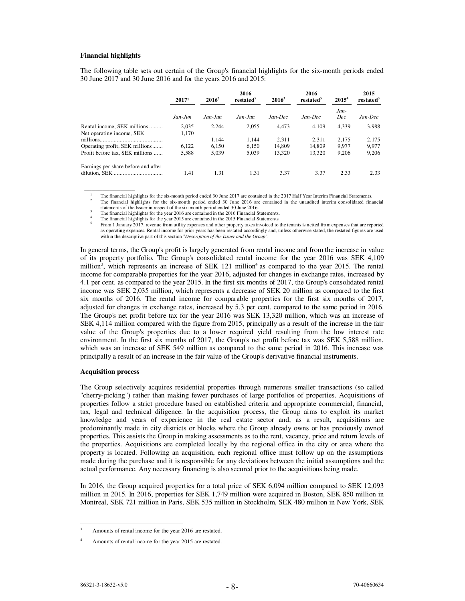#### **Financial highlights**

 $\overline{\phantom{a}}$   $\overline{\phantom{a}}$   $\overline{\phantom{a}}$   $\overline{\phantom{a}}$   $\overline{\phantom{a}}$   $\overline{\phantom{a}}$   $\overline{\phantom{a}}$   $\overline{\phantom{a}}$   $\overline{\phantom{a}}$   $\overline{\phantom{a}}$   $\overline{\phantom{a}}$   $\overline{\phantom{a}}$   $\overline{\phantom{a}}$   $\overline{\phantom{a}}$   $\overline{\phantom{a}}$   $\overline{\phantom{a}}$   $\overline{\phantom{a}}$   $\overline{\phantom{a}}$   $\overline{\$ 

The following table sets out certain of the Group's financial highlights for the six-month periods ended 30 June 2017 and 30 June 2016 and for the years 2016 and 2015:

|                                     | $2016^2$<br>2017 <sup>1</sup> |            | 2016<br>restated | $2016^3$ | 2016<br>restated <sup>5</sup> | $2015^4$    | 2015<br>restated <sup>5</sup> |
|-------------------------------------|-------------------------------|------------|------------------|----------|-------------------------------|-------------|-------------------------------|
|                                     | Jan-Jun                       | $Jan$ -Jun | $Jan$ -Jun       | Jan-Dec  | Jan-Dec                       | Jan-<br>Dec | Jan-Dec                       |
| Rental income, SEK millions         | 2.035                         | 2,244      | 2.055            | 4.473    | 4.109                         | 4,339       | 3,988                         |
| Net operating income, SEK           | 1,170                         |            |                  |          |                               |             |                               |
|                                     |                               | 1.144      | 1.144            | 2.311    | 2.311                         | 2.175       | 2.175                         |
| Operating profit, SEK millions      | 6,122                         | 6,150      | 6.150            | 14.809   | 14.809                        | 9.977       | 9,977                         |
| Profit before tax, SEK millions     | 5,588                         | 5,039      | 5,039            | 13,320   | 13,320                        | 9,206       | 9,206                         |
| Earnings per share before and after | 1.41                          | 1.31       | 1.31             | 3.37     | 3.37                          | 2.33        | 2.33                          |

1 The financial highlights for the six-month period ended 30 June 2017 are contained in the 2017 Half Year Interim Financial Statements.

2 The financial highlights for the six-month period ended 30 June 2016 are contained in the unaudited interim consolidated financial statements of the Issuer in respect of the six-month period ended 30 June 2016.

3 The financial highlights for the year 2016 are contained in the 2016 Financial Statements.

<sup>4</sup>The financial highlights for the year 2015 are contained in the 2015 Financial Statements 5 From 1 January 2017, revenue from utility expenses and other property taxes invoiced to the tenants is netted from expenses that are reported

as operating expenses. Rental income for prior years has been restated accordingly and, unless otherwise stated, the restated figures are used within the descriptive part of this section "*Description of the Issuer and the Group*".

In general terms, the Group's profit is largely generated from rental income and from the increase in value of its property portfolio. The Group's consolidated rental income for the year 2016 was SEK 4,109 million<sup>3</sup>, which represents an increase of SEK 121 million<sup>4</sup> as compared to the year 2015. The rental income for comparable properties for the year 2016, adjusted for changes in exchange rates, increased by 4.1 per cent. as compared to the year 2015. In the first six months of 2017, the Group's consolidated rental income was SEK 2,035 million, which represents a decrease of SEK 20 million as compared to the first six months of 2016. The rental income for comparable properties for the first six months of 2017, adjusted for changes in exchange rates, increased by 5.3 per cent. compared to the same period in 2016. The Group's net profit before tax for the year 2016 was SEK 13,320 million, which was an increase of SEK 4,114 million compared with the figure from 2015, principally as a result of the increase in the fair value of the Group's properties due to a lower required yield resulting from the low interest rate environment. In the first six months of 2017, the Group's net profit before tax was SEK 5,588 million, which was an increase of SEK 549 million as compared to the same period in 2016. This increase was principally a result of an increase in the fair value of the Group's derivative financial instruments.

## **Acquisition process**

The Group selectively acquires residential properties through numerous smaller transactions (so called "cherry-picking") rather than making fewer purchases of large portfolios of properties. Acquisitions of properties follow a strict procedure based on established criteria and appropriate commercial, financial, tax, legal and technical diligence. In the acquisition process, the Group aims to exploit its market knowledge and years of experience in the real estate sector and, as a result, acquisitions are predominantly made in city districts or blocks where the Group already owns or has previously owned properties. This assists the Group in making assessments as to the rent, vacancy, price and return levels of the properties. Acquisitions are completed locally by the regional office in the city or area where the property is located. Following an acquisition, each regional office must follow up on the assumptions made during the purchase and it is responsible for any deviations between the initial assumptions and the actual performance. Any necessary financing is also secured prior to the acquisitions being made.

In 2016, the Group acquired properties for a total price of SEK 6,094 million compared to SEK 12,093 million in 2015. In 2016, properties for SEK 1,749 million were acquired in Boston, SEK 850 million in Montreal, SEK 721 million in Paris, SEK 535 million in Stockholm, SEK 480 million in New York, SEK

l

<sup>3</sup> Amounts of rental income for the year 2016 are restated.

<sup>4</sup> Amounts of rental income for the year 2015 are restated.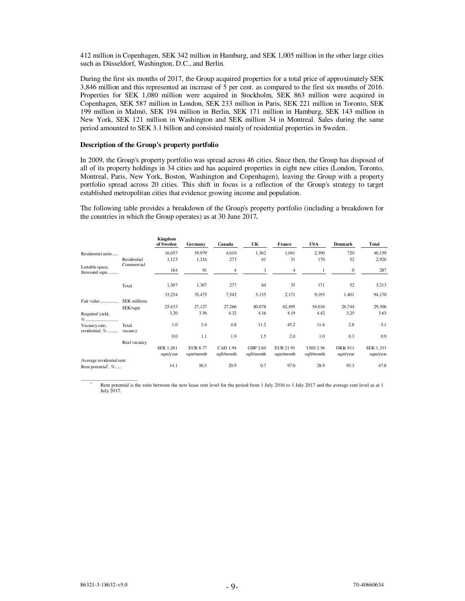412 million in Copenhagen, SEK 342 million in Hamburg, and SEK 1,005 million in the other large cities such as Düsseldorf, Washington, D.C., and Berlin.

During the first six months of 2017, the Group acquired properties for a total price of approximately SEK 3,846 million and this represented an increase of 5 per cent. as compared to the first six months of 2016. Properties for SEK 1,080 million were acquired in Stockholm, SEK 863 million were acquired in Copenhagen, SEK 587 million in London, SEK 233 million in Paris, SEK 221 million in Toronto, SEK 199 million in Malmö, SEK 194 million in Berlin, SEK 171 million in Hamburg, SEK 143 million in New York, SEK 121 million in Washington and SEK million 34 in Montreal. Sales during the same period amounted to SEK 3.1 billion and consisted mainly of residential properties in Sweden.

#### **Description of the Group's property portfolio**

In 2009, the Group's property portfolio was spread across 46 cities. Since then, the Group has disposed of all of its property holdings in 34 cities and has acquired properties in eight new cities (London, Toronto, Montreal, Paris, New York, Boston, Washington and Copenhagen), leaving the Group with a property portfolio spread across 20 cities. This shift in focus is a reflection of the Group's strategy to target established metropolitan cities that evidence growing income and population.

The following table provides a breakdown of the Group's property portfolio (including a breakdown for the countries in which the Group operates) as at 30 June 2017*.*

|                                   |                     | Kingdom<br>of Sweden | Germany         | Canada     | UK         | France    | <b>USA</b>      | <b>Denmark</b> | Total     |
|-----------------------------------|---------------------|----------------------|-----------------|------------|------------|-----------|-----------------|----------------|-----------|
| Residential units                 |                     | 16,057               | 19,979          | 4,610      | 1,362      | 1,041     | 2,390           | 720            | 46,159    |
|                                   | Residential         | 1,123                | 1,216           | 273        | 61         | 31        | 170             | 52             | 2,926     |
| Lettable space,<br>thousand sqm   | Commercial          | 184                  | 91              | 4          | 3          | 4         | 1               | $\bf{0}$       | 287       |
|                                   | Total               | 1,307                | 1,307           | 277        | 64         | 35        | 171             | 52             | 3,213     |
|                                   |                     | 33,254               | 35,475          | 7,542      | 5,135      | 2,171     | 9,193           | 1,401          | 94,170    |
| Fair value                        | <b>SEK</b> millions |                      |                 |            |            |           |                 |                |           |
|                                   | SEK/sqm             | 25,433               | 27,127          | 27,266     | 80,078     | 62,495    | 54,016          | 26,744         | 29,306    |
| Required yield,                   |                     | 3.20                 | 3.56            | 4.32       | 4.16       | 4.19      | 4.42            | 3.25           | 3.63      |
| Vacancy rate,<br>residential, %   | Total<br>vacancy    | 1.0                  | 5.4             | 4.8        | 11.2       | 45.2      | 11.6            | 2.8            | 5.1       |
|                                   |                     | 0.0                  | 1.1             | 1.9        | 1.5        | 2.0       | 1.0             | 0.3            | 0.9       |
|                                   | Real vacancy        |                      |                 |            |            |           |                 |                |           |
|                                   |                     | SEK 1,261            | <b>EUR 8.77</b> | CAD 1.94   | GBP 2.60   | EUR 21.91 | <b>USD 2.56</b> | <b>DKK 911</b> | SEK 1,333 |
|                                   |                     | sqm/year             | sqm/month       | sqft/month | sqft/month | sqm/month | sqft/month      | sqm/year       | sqm/year  |
| Average residential rent          |                     |                      |                 |            |            |           |                 |                |           |
| Rent potential <sup>1</sup> , $%$ |                     | 14.1                 | 56.5            | 20.9       | 0.7        | 97.0      | 28.9            | 93.3           | 47.8      |

1 Rent potential is the ratio between the new lease rent level for the period from 1 July 2016 to 1 July 2017 and the average rent level as at 1 July 2017.

 $\frac{1}{2}$  ,  $\frac{1}{2}$  ,  $\frac{1}{2}$  ,  $\frac{1}{2}$  ,  $\frac{1}{2}$  ,  $\frac{1}{2}$  ,  $\frac{1}{2}$  ,  $\frac{1}{2}$  ,  $\frac{1}{2}$  ,  $\frac{1}{2}$  ,  $\frac{1}{2}$  ,  $\frac{1}{2}$  ,  $\frac{1}{2}$  ,  $\frac{1}{2}$  ,  $\frac{1}{2}$  ,  $\frac{1}{2}$  ,  $\frac{1}{2}$  ,  $\frac{1}{2}$  ,  $\frac{1$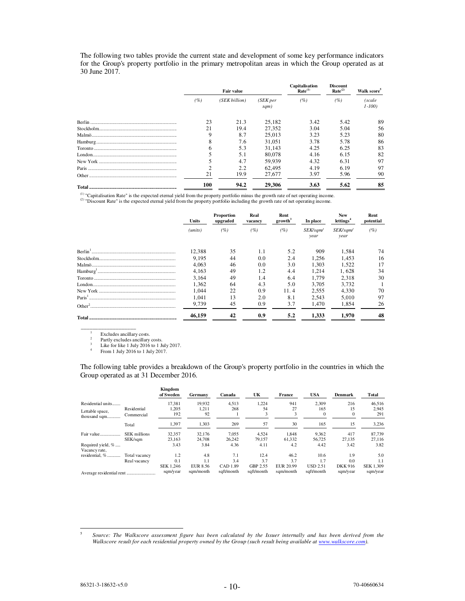The following two tables provide the current state and development of some key performance indicators for the Group's property portfolio in the primary metropolitan areas in which the Group operated as at 30 June 2017.

|     | Fair value    |                               | Capitalisation<br>Rate <sup>(1)</sup> | <b>Discount</b><br>Rate <sup>(2)</sup> | Walk score <sup>5</sup> |  |
|-----|---------------|-------------------------------|---------------------------------------|----------------------------------------|-------------------------|--|
| (%) | (SEK billion) | (SEK <sub>per</sub> )<br>sqm) | (%)                                   | (%)                                    | (scale<br>$1 - 100$     |  |
| 23  | 21.3          | 25,182                        | 3.42                                  | 5.42                                   | 89                      |  |
| 21  | 19.4          | 27,352                        | 3.04                                  | 5.04                                   | 56                      |  |
| 9   | 8.7           | 25,013                        | 3.23                                  | 5.23                                   | 80                      |  |
| 8   | 7.6           | 31.051                        | 3.78                                  | 5.78                                   | 86                      |  |
| 6   | 5.3           | 31.143                        | 4.25                                  | 6.25                                   | 83                      |  |
|     | 5.1           | 80,078                        | 4.16                                  | 6.15                                   | 82                      |  |
|     | 4.7           | 59.939                        | 4.32                                  | 6.31                                   | 97                      |  |
|     | 2.2           | 62.495                        | 4.19                                  | 6.19                                   | 97                      |  |
| 21  | 19.9          | 27,677                        | 3.97                                  | 5.96                                   | 90                      |  |
| 100 | 94.2          | 29,306                        | 3.63                                  | 5.62                                   | 85                      |  |

(1) "Capitalisation Rate" is the expected eternal yield from the property portfolio minus the growth rate of net operating income.<br>(2) "Discount Rate" is the expected eternal yield from the property portfolio including th

|  | Units   | Real<br><b>Proportion</b><br>upgraded |     | vacancy | Rent<br>growth <sup>3</sup> | In place         | <b>New</b><br>lettings <sup>4</sup> | Rent<br>potential |  |
|--|---------|---------------------------------------|-----|---------|-----------------------------|------------------|-------------------------------------|-------------------|--|
|  | (units) | (%)                                   | (%) | (%)     | SEK/sqm/<br>year            | SEK/sqm/<br>year | (%)                                 |                   |  |
|  | 12,388  | 35                                    | 1.1 | 5.2     | 909                         | 1,584            | 74                                  |                   |  |
|  | 9.195   | 44                                    | 0.0 | 2.4     | 1.256                       | 1.453            | 16                                  |                   |  |
|  | 4.063   | 46                                    | 0.0 | 3.0     | 1.303                       | 1.522            | 17                                  |                   |  |
|  | 4.163   | 49                                    | 1.2 | 4.4     | 1.214                       | 1.628            | 34                                  |                   |  |
|  | 3.164   | 49                                    | 1.4 | 6.4     | 1.779                       | 2,318            | 30                                  |                   |  |
|  | 1.362   | 64                                    | 4.3 | 5.0     | 3.705                       | 3.732            |                                     |                   |  |
|  | 1.044   | 22                                    | 0.9 | 11.4    | 2.555                       | 4.330            | 70                                  |                   |  |
|  | 1.041   | 13                                    | 2.0 | 8.1     | 2.543                       | 5.010            | 97                                  |                   |  |
|  | 9,739   | 45                                    | 0.9 | 3.7     | 1.470                       | 1.854            | 26                                  |                   |  |
|  | 46.159  | 42                                    | 0.9 | 5.2     | 1.333                       | 1.970            | 48                                  |                   |  |

1  $\frac{1}{2}$  Excludes ancillary costs.

\_\_\_\_\_\_\_\_\_\_\_\_\_\_\_\_\_\_\_

<sup>2</sup> Partly excludes ancillary costs.<br>
<sup>3</sup> Like for like 1 July 2016 to 1 July 2017.<br>
<sup>4</sup> From 1 July 2016 to 1 July 2017. 3

4

The following table provides a breakdown of the Group's property portfolio in the countries in which the Group operated as at 31 December 2016.

|                                    |               | Kingdom<br>of Sweden | Germany         | Canada     | UK         | France           | <b>USA</b>      | <b>Denmark</b> | Total            |
|------------------------------------|---------------|----------------------|-----------------|------------|------------|------------------|-----------------|----------------|------------------|
| Residential units                  |               | 17.381               | 19,932          | 4,513      | 1,224      | 941              | 2.309           | 216            | 46,516           |
| Lettable space,                    | Residential   | 1.205                | 1.211           | 268        | 54         | 27               | 165             | 15             | 2.945            |
| thousand sqm                       | Commercial    | 192                  | 92              |            | 3          |                  | $\Omega$        |                | 291              |
|                                    | Total         | 1,397                | 1,303           | 269        | 57         | 30               | 165             | 15             | 3,236            |
| Fair value                         | SEK millions  | 32,357               | 32.176          | 7,055      | 4,524      | 1,848            | 9,362           | 417            | 87,739           |
|                                    | SEK/sqm       | 23,163               | 24,708          | 26.242     | 79.157     | 61.332           | 56.725          | 27.135         | 27.116           |
| Required yield, %<br>Vacancy rate, |               | 3.43                 | 3.84            | 4.36       | 4.11       | 4.2              | 4.42            | 3.42           | 3.82             |
| residential, %                     | Total vacancy | 1.2                  | 4.8             | 7.1        | 12.4       | 46.2             | 10.6            | 1.9            | 5.0              |
|                                    | Real vacancy  | 0.1                  | 1.1             | 3.4        | 3.7        | 3.7              | 1.7             | 0.0            | 1.1              |
|                                    |               | SEK 1.246            | <b>EUR 8.56</b> | CAD 1.89   | GBP 2.55   | <b>EUR 20.99</b> | <b>USD 2.51</b> | <b>DKK 916</b> | <b>SEK 1.309</b> |
|                                    |               | sqm/year             | sam/month       | sqft/month | sqft/month | sqm/month        | sqft/month      | sqm/year       | sqm/year         |

l

<sup>5</sup> *Source: The Walkscore assessment figure has been calculated by the Issuer internally and has been derived from the Walkscore result for each residential property owned by the Group (such result being available at www.walkscore.com).*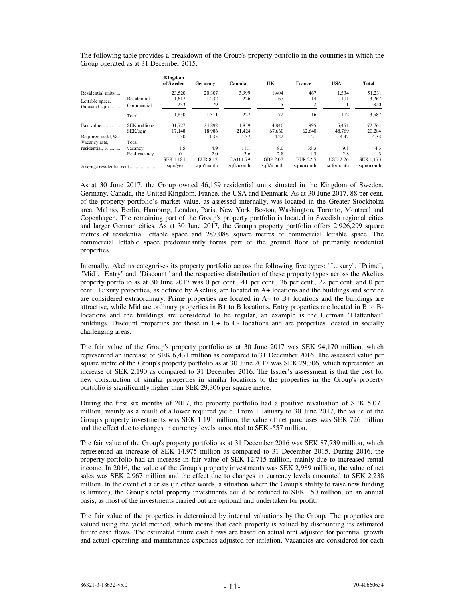The following table provides a breakdown of the Group's property portfolio in the countries in which the Group operated as at 31 December 2015.

|                   |                     | Kingdom<br>of Sweden | Germany         | Canada     | UK         | France          | <b>USA</b>      | Total            |
|-------------------|---------------------|----------------------|-----------------|------------|------------|-----------------|-----------------|------------------|
| Residential units |                     | 23.520               | 20,307          | 3.999      | 1.404      | 467             | 1.534           | 51.231           |
| Lettable space,   | Residential         | 1.617                | 1,232           | 226        | 67         | 14              | 111             | 3.267            |
| thousand sqm      | Commercial          | 233                  | 79              |            |            | 2               |                 | 320              |
|                   | Total               | 1,850                | 1,311           | 227        | 72         | 16              | 112             | 3,587            |
| Fair value        | <b>SEK</b> millions | 31.727               | 24.892          | 4.859      | 4.840      | 995             | 5.451           | 72.764           |
|                   | SEK/sqm             | 17.148               | 18.986          | 21.424     | 67.660     | 62,640          | 48,769          | 20,284           |
| Required yield, % |                     | 4.30                 | 4.35            | 4.37       | 4.22       | 4.21            | 4.47            | 4.33             |
| Vacancy rate,     | Total               |                      |                 |            |            |                 |                 |                  |
| residential. %    | vacancy             | 1.5                  | 4.9             | 11.1       | 8.0        | 35.3            | 9.8             | 4.3              |
|                   | Real vacancy        | 0.1                  | 2.0             | 3.6        | 2.8        | 1.3             | 2.8             | 1.3              |
|                   |                     | <b>SEK 1.184</b>     | <b>EUR 8.13</b> | CAD 1.79   | GBP 2.07   | <b>EUR 22.5</b> | <b>USD 2.26</b> | <b>SEK 1.173</b> |
|                   |                     | sqm/year             | sqm/month       | saft/month | sqft/month | sam/month       | saft/month      | sam/month        |

As at 30 June 2017, the Group owned 46,159 residential units situated in the Kingdom of Sweden, Germany, Canada, the United Kingdom, France, the USA and Denmark. As at 30 June 2017, 88 per cent. of the property portfolio's market value, as assessed internally, was located in the Greater Stockholm area, Malmö, Berlin, Hamburg, London, Paris, New York, Boston, Washington, Toronto, Montreal and Copenhagen. The remaining part of the Group's property portfolio is located in Swedish regional cities and larger German cities. As at 30 June 2017, the Group's property portfolio offers 2,926,299 square metres of residential lettable space and 287,088 square metres of commercial lettable space. The commercial lettable space predominantly forms part of the ground floor of primarily residential properties.

Internally, Akelius categorises its property portfolio across the following five types: "Luxury", "Prime", "Mid", "Entry" and "Discount" and the respective distribution of these property types across the Akelius property portfolio as at 30 June 2017 was 0 per cent., 41 per cent., 36 per cent., 22 per cent. and 0 per cent. Luxury properties, as defined by Akelius, are located in A+ locations and the buildings and service are considered extraordinary. Prime properties are located in A+ to B+ locations and the buildings are attractive, while Mid are ordinary properties in B+ to B locations. Entry properties are located in B to Blocations and the buildings are considered to be regular, an example is the German "Plattenbau" buildings. Discount properties are those in C+ to C- locations and are properties located in socially challenging areas.

The fair value of the Group's property portfolio as at 30 June 2017 was SEK 94,170 million, which represented an increase of SEK 6,431 million as compared to 31 December 2016. The assessed value per square metre of the Group's property portfolio as at 30 June 2017 was SEK 29,306, which represented an increase of SEK 2,190 as compared to 31 December 2016. The Issuer's assessment is that the cost for new construction of similar properties in similar locations to the properties in the Group's property portfolio is significantly higher than SEK 29,306 per square metre.

During the first six months of 2017, the property portfolio had a positive revaluation of SEK 5,071 million, mainly as a result of a lower required yield. From 1 January to 30 June 2017, the value of the Group's property investments was SEK 1,191 million, the value of net purchases was SEK 726 million and the effect due to changes in currency levels amounted to SEK -557 million.

The fair value of the Group's property portfolio as at 31 December 2016 was SEK 87,739 million, which represented an increase of SEK 14,975 million as compared to 31 December 2015. During 2016, the property portfolio had an increase in fair value of SEK 12,715 million, mainly due to increased rental income. In 2016, the value of the Group's property investments was SEK 2,989 million, the value of net sales was SEK 2,967 million and the effect due to changes in currency levels amounted to SEK 2,238 million. In the event of a crisis (in other words, a situation where the Group's ability to raise new funding is limited), the Group's total property investments could be reduced to SEK 150 million, on an annual basis, as most of the investments carried out are optional and undertaken for profit.

The fair value of the properties is determined by internal valuations by the Group. The properties are valued using the yield method, which means that each property is valued by discounting its estimated future cash flows. The estimated future cash flows are based on actual rent adjusted for potential growth and actual operating and maintenance expenses adjusted for inflation. Vacancies are considered for each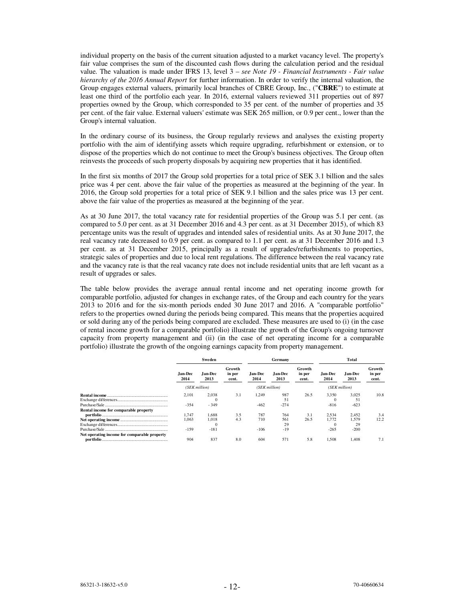individual property on the basis of the current situation adjusted to a market vacancy level. The property's fair value comprises the sum of the discounted cash flows during the calculation period and the residual value. The valuation is made under IFRS 13, level 3 – *see Note 19 - Financial Instruments - Fair value hierarchy of the 2016 Annual Report* for further information. In order to verify the internal valuation, the Group engages external valuers, primarily local branches of CBRE Group, Inc., ("**CBRE**") to estimate at least one third of the portfolio each year. In 2016, external valuers reviewed 311 properties out of 897 properties owned by the Group, which corresponded to 35 per cent. of the number of properties and 35 per cent. of the fair value. External valuers' estimate was SEK 265 million, or 0.9 per cent., lower than the Group's internal valuation.

In the ordinary course of its business, the Group regularly reviews and analyses the existing property portfolio with the aim of identifying assets which require upgrading, refurbishment or extension, or to dispose of the properties which do not continue to meet the Group's business objectives. The Group often reinvests the proceeds of such property disposals by acquiring new properties that it has identified.

In the first six months of 2017 the Group sold properties for a total price of SEK 3.1 billion and the sales price was 4 per cent. above the fair value of the properties as measured at the beginning of the year. In 2016, the Group sold properties for a total price of SEK 9.1 billion and the sales price was 13 per cent. above the fair value of the properties as measured at the beginning of the year.

As at 30 June 2017, the total vacancy rate for residential properties of the Group was 5.1 per cent. (as compared to 5.0 per cent. as at 31 December 2016 and 4.3 per cent. as at 31 December 2015), of which 83 percentage units was the result of upgrades and intended sales of residential units. As at 30 June 2017, the real vacancy rate decreased to 0.9 per cent. as compared to 1.1 per cent. as at 31 December 2016 and 1.3 per cent. as at 31 December 2015, principally as a result of upgrades/refurbishments to properties, strategic sales of properties and due to local rent regulations. The difference between the real vacancy rate and the vacancy rate is that the real vacancy rate does not include residential units that are left vacant as a result of upgrades or sales.

The table below provides the average annual rental income and net operating income growth for comparable portfolio, adjusted for changes in exchange rates, of the Group and each country for the years 2013 to 2016 and for the six-month periods ended 30 June 2017 and 2016. A "comparable portfolio" refers to the properties owned during the periods being compared. This means that the properties acquired or sold during any of the periods being compared are excluded. These measures are used to (i) (in the case of rental income growth for a comparable portfolio) illustrate the growth of the Group's ongoing turnover capacity from property management and (ii) (in the case of net operating income for a comparable portfolio) illustrate the growth of the ongoing earnings capacity from property management.

|                                              |                                           | Sweden                               |                           |                      | Germany                   |                           | Total                                |                                |                           |  |
|----------------------------------------------|-------------------------------------------|--------------------------------------|---------------------------|----------------------|---------------------------|---------------------------|--------------------------------------|--------------------------------|---------------------------|--|
|                                              | Jan-Dec<br><b>Jan-Dec</b><br>2014<br>2013 |                                      | Growth<br>in per<br>cent. | Jan-Dec<br>2014      | <b>Jan-Dec</b><br>2013    | Growth<br>in per<br>cent. | Jan-Dec<br>2014                      | Jan-Dec<br>2013                | Growth<br>in per<br>cent. |  |
|                                              |                                           | (SEK million)                        |                           | (SEK million)        |                           |                           | (SEK million)                        |                                |                           |  |
|                                              | 2,101<br>$-354$                           | 2,038<br>0<br>$-349$                 | 3.1                       | 1.249<br>$-462$      | 987<br>51<br>$-274$       | 26.5                      | 3,350<br>-816                        | 3,025<br>51<br>$-623$          | 10.8                      |  |
| Rental income for comparable property        | 1.747<br>1.063<br>$-159$                  | 1.688<br>1.018<br>$\Omega$<br>$-181$ | 3.5<br>4.3                | 787<br>710<br>$-106$ | 764<br>561<br>29<br>$-19$ | 3.1<br>26.5               | 2.534<br>1.772<br>$\Omega$<br>$-265$ | 2.452<br>1.579<br>29<br>$-200$ | 3.4<br>12.2               |  |
| Net operating income for comparable property | 904                                       | 837                                  | 8.0                       | 604                  | 571                       | 5.8                       | 1,508                                | 1.408                          | 7.1                       |  |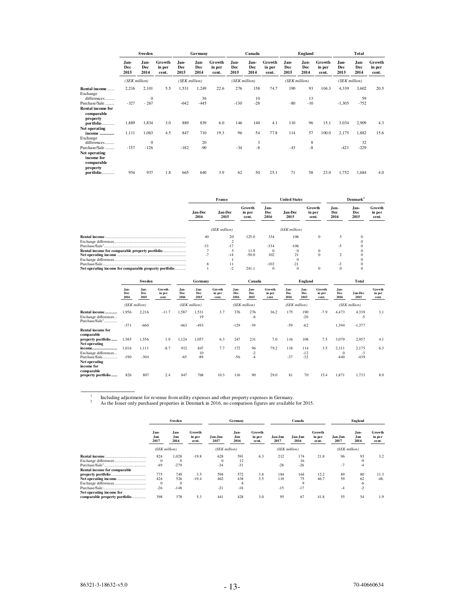|                                                                        | Sweden              |                       |                           | Germany             |                     | Canada                    |                     | England             |                           |                     | Total                      |                           |                     |                     |                           |
|------------------------------------------------------------------------|---------------------|-----------------------|---------------------------|---------------------|---------------------|---------------------------|---------------------|---------------------|---------------------------|---------------------|----------------------------|---------------------------|---------------------|---------------------|---------------------------|
|                                                                        | Jan-<br>Dec<br>2015 | Jan-<br>Dec<br>2014   | Growth<br>in per<br>cent. | Jan-<br>Dec<br>2015 | Jan-<br>Dec<br>2014 | Growth<br>in per<br>cent. | Jan-<br>Dec<br>2015 | Jan-<br>Dec<br>2014 | Growth<br>in per<br>cent. | Jan-<br>Dec<br>2015 | Jan-<br><b>Dec</b><br>2014 | Growth<br>in per<br>cent. | Jan-<br>Dec<br>2015 | Jan-<br>Dec<br>2014 | Growth<br>in per<br>cent. |
|                                                                        | (SEK million)       |                       |                           | (SEK million)       |                     |                           | (SEK million)       |                     |                           | (SEK million)       |                            |                           | (SEK million)       |                     |                           |
| Rental income<br>Exchange<br>differences                               | 2,216               | 2,101<br>$\mathbf{0}$ | 5.5                       | 1,531               | 1,249<br>36         | 22.6                      | 276                 | 158<br>10           | 74.7                      | 190                 | 93<br>13                   | 104.3                     | 4,339               | 3,602<br>59         | 20.5                      |
| Purchase/Sale.<br><br><b>Rental income for</b><br>comparable           | $-327$              | $-267$                |                           | $-642$              | $-445$              |                           | $-130$              | $-28$               |                           | $-80$               | $-10$                      |                           | $-1,305$            | $-752$              |                           |
| property<br>portfolio                                                  | 1,889               | 1,834                 | 3.0                       | 889                 | 839                 | 6.0                       | 146                 | 140                 | 4.1                       | 110                 | 96                         | 15.1                      | 3.034               | 2,909               | 4.3                       |
| Net operating                                                          |                     |                       |                           |                     |                     |                           |                     |                     |                           |                     |                            |                           |                     |                     |                           |
| income<br>Exchange                                                     | 1,111               | 1,063                 | 4.5                       | 847                 | 710                 | 19.3                      | 96                  | 54                  | 77.8                      | 114                 | 57                         | 100.0                     | 2,175               | 1,882               | 15.6                      |
| differences                                                            |                     | $\mathbf{0}$          |                           |                     | 20                  |                           |                     | 3                   |                           |                     | 8                          |                           |                     | 32                  |                           |
| Purchase/Sale<br>Net operating<br>income for<br>comparable<br>property | $-157$              | $-126$                |                           | $-182$              | $-90$               |                           | $-34$               | $-8$                |                           | $-43$               | $-8$                       |                           | $-423$              | $-229$              |                           |
| portfolio                                                              | 954                 | 937                   | 1.8                       | 665                 | 640                 | 3.9                       | 62                  | 50                  | 25.1                      | 71                  | 58                         | 23.0                      | 1,752               | 1,684               | 4.0                       |

|                                                        |                 | France                                       |         |                     | <b>United States</b> |                           | Demmark <sup>2</sup>                       |  |                           |
|--------------------------------------------------------|-----------------|----------------------------------------------|---------|---------------------|----------------------|---------------------------|--------------------------------------------|--|---------------------------|
|                                                        | Jan-Dec<br>2016 | Growth<br>Jan-Dec<br>in per<br>2015<br>cent. |         | Jan-<br>Dec<br>2016 | Jan-Dec<br>2015      | Growth<br>in per<br>cent. | Jan-<br>Jan-<br>Dec<br>Dec<br>2015<br>2016 |  | Growth<br>in per<br>cent. |
|                                                        |                 | (SEK million)                                |         |                     | (SEK million)        |                           |                                            |  |                           |
|                                                        | 40              | 20                                           | 125.0   | 334                 | 106                  | $\Omega$                  |                                            |  |                           |
|                                                        |                 |                                              |         |                     |                      |                           |                                            |  |                           |
|                                                        | $-33$           | $-17$                                        |         | $-334$              | $-106$               |                           | -7                                         |  |                           |
|                                                        |                 |                                              | 11.9    |                     |                      |                           |                                            |  |                           |
|                                                        | $-1$            | $-14$                                        | $-50.0$ | 102                 | 21                   |                           |                                            |  |                           |
|                                                        |                 |                                              |         |                     |                      |                           |                                            |  |                           |
|                                                        |                 |                                              |         | $-102$              | $-21$                |                           |                                            |  |                           |
| Net operating income for comparable property portfolio |                 |                                              | 241.1   |                     |                      |                           |                                            |  |                           |

|                                                                     |                     | <b>Sweden</b>       |                            | Germany             |                     | Canada                           |                     |                     | <b>England</b>            |                     |                     | Total                     |                     |                 |                           |
|---------------------------------------------------------------------|---------------------|---------------------|----------------------------|---------------------|---------------------|----------------------------------|---------------------|---------------------|---------------------------|---------------------|---------------------|---------------------------|---------------------|-----------------|---------------------------|
|                                                                     | Jan-<br>Dec<br>2016 | Jan-<br>Dec<br>2015 | Gro wth<br>in per<br>cent. | Jan-<br>Dec<br>2016 | Jan-<br>Dec<br>2015 | <b>Growth</b><br>in per<br>cent. | Jan-<br>Dec<br>2016 | Jan-<br>Dec<br>2015 | Growth<br>in per<br>cent. | Jan-<br>Dec<br>2016 | Jan-<br>Dec<br>2015 | Growth<br>in per<br>cent. | Jan-<br>Dec<br>2016 | Jan-Dec<br>2015 | Growth<br>in per<br>cent. |
|                                                                     |                     | (SEK million)       |                            |                     | (SEK million)       |                                  |                     | (SEK million)       |                           |                     | (SEK million)       |                           |                     | (SEK million)   |                           |
| Rental income<br>Exchange differences<br>Purchase/Sale <sup>1</sup> | 1,956               | 2,216               | $-11.7$                    | 1,587               | 1,531<br>19         | 3.7                              | 376                 | 276<br>-6           | 36.2                      | 175                 | 190<br>$-20$        | $-7.9$                    | 4,473<br>٠          | 4,339<br>$-5$   | 3.1                       |
| <b>Rental income for</b><br>comparable                              | $-371$              | $-660$              |                            | $-463$              | $-493$              |                                  | $-129$              | $-39$               |                           | $-59$               | $-62$               |                           | 1,394               | $-1,377$        |                           |
| property portfolio<br>Net operating                                 | 1,585               | 1.556               | 1.9                        | 1,124               | 1,057               | 6.3                              | 247                 | 231                 | 7.0                       | 116                 | 108                 | 7.5                       | 3,079               | 2,957           | 4.1                       |
| income<br>Exchange differences                                      | 1,016               | 1.111               | $-8.7$                     | 912                 | 847<br>10           | 7.7                              | 172                 | 96<br>$-2$          | 79.2                      | 118                 | 114<br>$-12$        | 3.5                       | 2,311<br>$\Omega$   | 2,175<br>$-3$   | 6.3                       |
| Purchase/Sale<br>Net operating                                      | $-190$              | $-304$              |                            | $-65$               | $-89$               |                                  | $-56$               | $-4$                |                           | $-37$               | $-32$               |                           | $-440$              | -439            |                           |
| income for<br>comparable                                            |                     |                     |                            |                     |                     |                                  |                     |                     |                           |                     |                     |                           |                     |                 |                           |
| property portfolio                                                  | 826                 | 807                 | 2.4                        | 847                 | 768                 | 10.3                             | 116                 | 90                  | 29.0                      | 81                  | 70                  | 15.4                      | 1.871               | 1.733           | 8.0                       |

1 2

Including adjustment for revenue from utility expenses and other property expenses in Germany. As the Issuer only purchased properties in Denmark in 2016, no comparison figures are available for 2015.

|                                                           | Sweden              |                                      |                           | Germany                  |                          |                            |                     | Canada                  |                           | England         |                        |                           |
|-----------------------------------------------------------|---------------------|--------------------------------------|---------------------------|--------------------------|--------------------------|----------------------------|---------------------|-------------------------|---------------------------|-----------------|------------------------|---------------------------|
|                                                           | Jan-<br>Jun<br>2017 | Jan-<br>Jun<br>2016                  | Growth<br>in per<br>cent. | Jan-Jun<br>2017          | Jan-<br>Jun<br>2016      | Growth<br>in per<br>ce nt. | Jan-Jun<br>2017     | Jan-Jun<br>2016         | Growth<br>in per<br>cent. | Jan-Jun<br>2017 | Jan-<br>Jun<br>2016    | Growth<br>in per<br>cent. |
|                                                           | (SEK million)       |                                      | (SEK million)             |                          |                          |                            | (SEK million)       |                         | (SEK million)             |                 |                        |                           |
|                                                           | 824<br>$-49$        | 1.028<br>$\Omega$<br>$-279$          | $-19.8$                   | 628<br>$\Omega$<br>$-34$ | 591<br>12<br>$-31$       | 6.3                        | 212<br>$-28$        | 174<br>16<br>$-26$      | 21.8                      | 96<br>$-7$      | 93<br>$-9$<br>-4       | 3.2                       |
| Rental income for comparable                              | 775<br>424<br>$-26$ | 749<br>526<br>$\mathbf{0}$<br>$-148$ | 3.5<br>$-19.4$            | 594<br>462<br>$-21$      | 572<br>438<br>8<br>$-18$ | 3.8<br>5.5                 | 184<br>110<br>$-15$ | 164<br>75<br>9<br>$-17$ | 12.2<br>46.7              | 89<br>59<br>-4  | 80<br>62<br>-6<br>$-2$ | 11.3<br>$-48.$            |
| Net operating income for<br>comparable property portfolio | 398                 | 378                                  | 5.3                       | 441                      | 428                      | 3.0                        | 95                  | 67                      | 41.8                      | 55              | 54                     | 1.9                       |

 $\overline{\phantom{a}}$   $\overline{\phantom{a}}$   $\overline{\phantom{a}}$   $\overline{\phantom{a}}$   $\overline{\phantom{a}}$   $\overline{\phantom{a}}$   $\overline{\phantom{a}}$   $\overline{\phantom{a}}$   $\overline{\phantom{a}}$   $\overline{\phantom{a}}$   $\overline{\phantom{a}}$   $\overline{\phantom{a}}$   $\overline{\phantom{a}}$   $\overline{\phantom{a}}$   $\overline{\phantom{a}}$   $\overline{\phantom{a}}$   $\overline{\phantom{a}}$   $\overline{\phantom{a}}$   $\overline{\$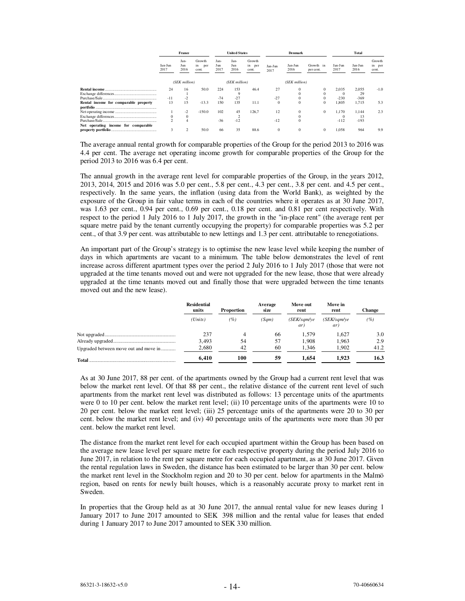|                                       | France          |                     |                              | <b>United States</b> |                     |                           | <b>Denmark</b>  |                 |                        | Total           |                 |                           |
|---------------------------------------|-----------------|---------------------|------------------------------|----------------------|---------------------|---------------------------|-----------------|-----------------|------------------------|-----------------|-----------------|---------------------------|
|                                       | Jan-Jun<br>2017 | Jan-<br>Jun<br>2016 | Growth<br>in<br>per<br>cent. | Jan-<br>Jun<br>2017  | Jan-<br>Jun<br>2016 | Growth<br>in per<br>cent. | Jan-Jun<br>2017 | Jan-Jun<br>2016 | Growth in<br>per cent. | Jan-Jun<br>2017 | Jan-Jun<br>2016 | Growth<br>in per<br>cent. |
|                                       |                 | (SEK million)       |                              |                      | (SEK million)       |                           |                 | (SEK million)   |                        |                 |                 |                           |
|                                       | 24              | 16                  | 50.0                         | 224                  | 153                 | 46.4                      | 27              |                 |                        | 2,035           | 2.055           | $-1.0$                    |
|                                       |                 |                     |                              |                      |                     |                           |                 |                 |                        | $^{(1)}$        | 29              |                           |
|                                       | $-11$           |                     |                              | $-74$                | $-27$               |                           | $-27$           |                 |                        | $-230$          | $-369$          |                           |
| Rental income for comparable property | 13              | 15                  | $-13.3$                      | 150                  | 135                 | 11.1                      | 0               | $\mathbf{0}$    | $\mathbf{0}$           | 1.805           | 1.715           | 5.3                       |
|                                       |                 | $-2$                | $-150.0$                     | 102                  | 45                  | 126.7                     | 12              | $\Omega$        | $\mathbf{0}$           | 1.170           | 1.144           | 2.3                       |
|                                       | 0               | 0                   |                              |                      |                     |                           |                 |                 |                        |                 | 13              |                           |
|                                       |                 |                     |                              | $-36$                | $-12$               |                           | $-12$           | $\Omega$        |                        | $-112$          | $-193$          |                           |
| Net operating income for comparable   |                 |                     |                              |                      |                     |                           |                 |                 |                        |                 |                 |                           |
|                                       | 3               |                     | 50.0                         | 66                   | 35                  | 88.6                      | $\Omega$        | $\Omega$        | 0                      | 1.058           | 964             | 9.9                       |

The average annual rental growth for comparable properties of the Group for the period 2013 to 2016 was 4.4 per cent. The average net operating income growth for comparable properties of the Group for the period 2013 to 2016 was 6.4 per cent.

The annual growth in the average rent level for comparable properties of the Group, in the years 2012, 2013, 2014, 2015 and 2016 was 5.0 per cent., 5.8 per cent., 4.3 per cent., 3.8 per cent. and 4.5 per cent., respectively. In the same years, the inflation (using data from the World Bank), as weighted by the exposure of the Group in fair value terms in each of the countries where it operates as at 30 June 2017, was 1.63 per cent., 0.94 per cent., 0.69 per cent., 0.18 per cent. and 0.81 per cent respectively. With respect to the period 1 July 2016 to 1 July 2017, the growth in the "in-place rent" (the average rent per square metre paid by the tenant currently occupying the property) for comparable properties was 5.2 per cent., of that 3.9 per cent. was attributable to new lettings and 1.3 per cent. attributable to renegotiations.

An important part of the Group's strategy is to optimise the new lease level while keeping the number of days in which apartments are vacant to a minimum. The table below demonstrates the level of rent increase across different apartment types over the period 2 July 2016 to 1 July 2017 (those that were not upgraded at the time tenants moved out and were not upgraded for the new lease, those that were already upgraded at the time tenants moved out and finally those that were upgraded between the time tenants moved out and the new lease).

|                                       | <b>Residential</b><br>units | Proportion | Average<br>size | Move out<br>rent  | Move in<br>rent   | Change |
|---------------------------------------|-----------------------------|------------|-----------------|-------------------|-------------------|--------|
|                                       | (Units)                     | (%)        | (Sam)           | SEK/sam/ve<br>ar) | SEK/sam/ve<br>ar) | ( %)   |
|                                       | 237                         |            | 66              | 1.579             | 1.627             | 3.0    |
|                                       | 3.493                       | 54         | 57              | 1.908             | 1.963             | 2.9    |
| Upgraded between move out and move in | 2,680                       | 42         | 60              | 1.346             | 1.902             | 41.2   |
|                                       | 6.410                       | 100        | 59              | 1.654             | 1.923             | 16.3   |

As at 30 June 2017, 88 per cent. of the apartments owned by the Group had a current rent level that was below the market rent level. Of that 88 per cent., the relative distance of the current rent level of such apartments from the market rent level was distributed as follows: 13 percentage units of the apartments were 0 to 10 per cent. below the market rent level; (ii) 10 percentage units of the apartments were 10 to 20 per cent. below the market rent level; (iii) 25 percentage units of the apartments were 20 to 30 per cent. below the market rent level; and (iv) 40 percentage units of the apartments were more than 30 per cent. below the market rent level.

The distance from the market rent level for each occupied apartment within the Group has been based on the average new lease level per square metre for each respective property during the period July 2016 to June 2017, in relation to the rent per square metre for each occupied apartment, as at 30 June 2017. Given the rental regulation laws in Sweden, the distance has been estimated to be larger than 30 per cent. below the market rent level in the Stockholm region and 20 to 30 per cent. below for apartments in the Malmö region, based on rents for newly built houses, which is a reasonably accurate proxy to market rent in Sweden.

In properties that the Group held as at 30 June 2017, the annual rental value for new leases during 1 January 2017 to June 2017 amounted to SEK 398 million and the rental value for leases that ended during 1 January 2017 to June 2017 amounted to SEK 330 million.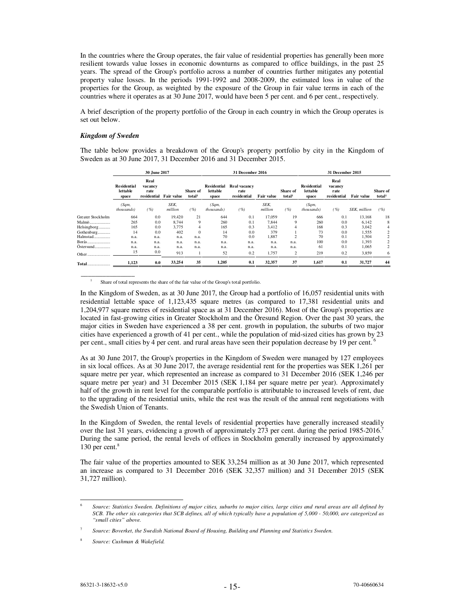In the countries where the Group operates, the fair value of residential properties has generally been more resilient towards value losses in economic downturns as compared to office buildings, in the past 25 years. The spread of the Group's portfolio across a number of countries further mitigates any potential property value losses. In the periods 1991-1992 and 2008-2009, the estimated loss in value of the properties for the Group, as weighted by the exposure of the Group in fair value terms in each of the countries where it operates as at 30 June 2017, would have been 5 per cent. and 6 per cent., respectively.

A brief description of the property portfolio of the Group in each country in which the Group operates is set out below.

#### *Kingdom of Sweden*

 $\overline{\phantom{a}}$   $\overline{\phantom{a}}$   $\overline{\phantom{a}}$   $\overline{\phantom{a}}$   $\overline{\phantom{a}}$   $\overline{\phantom{a}}$   $\overline{\phantom{a}}$   $\overline{\phantom{a}}$   $\overline{\phantom{a}}$   $\overline{\phantom{a}}$   $\overline{\phantom{a}}$   $\overline{\phantom{a}}$   $\overline{\phantom{a}}$   $\overline{\phantom{a}}$   $\overline{\phantom{a}}$   $\overline{\phantom{a}}$   $\overline{\phantom{a}}$   $\overline{\phantom{a}}$   $\overline{\$ 

The table below provides a breakdown of the Group's property portfolio by city in the Kingdom of Sweden as at 30 June 2017, 31 December 2016 and 31 December 2015.

|                   |                                         | 30 June 2017                           |                 |                                       |                                         | 31 December 2016                    |                 | 31 December 2015               |                                         |                                        |              |                                |
|-------------------|-----------------------------------------|----------------------------------------|-----------------|---------------------------------------|-----------------------------------------|-------------------------------------|-----------------|--------------------------------|-----------------------------------------|----------------------------------------|--------------|--------------------------------|
|                   | <b>Residential</b><br>lettable<br>space | Real<br>vacancy<br>rate<br>residential | Fair value      | <b>Share of</b><br>total <sup>1</sup> | <b>Residential</b><br>lettable<br>space | Real vacancy<br>rate<br>residential | Fair value      | Share of<br>total <sup>1</sup> | <b>Residential</b><br>lettable<br>space | Real<br>vacancy<br>rate<br>residential | Fair value   | Share of<br>total <sup>1</sup> |
|                   | (Sqm,<br>thousands)                     | ( %)                                   | SEK.<br>million | ( %)                                  | (Sqm,<br>thousands)                     | $($ %)                              | SEK,<br>million | ( %)                           | (Sqm,<br><i>thousands</i> )             | ( %)                                   | SEK, million | ( %)                           |
| Greater Stockholm | 664                                     | 0.0                                    | 19.420          | 21                                    | 644                                     | 0.1                                 | 17.059          | 19                             | 666                                     | 0.1                                    | 13.168       | 18                             |
| Malmö.<br>        | 265                                     | 0.0                                    | 8.744           | 9                                     | 260                                     | 0.1                                 | 7.844           | 9                              | 260                                     | 0.0                                    | 6.142        | 8                              |
| Helsingborg       | 165                                     | 0.0                                    | 3.775           | 4                                     | 165                                     | 0.3                                 | 3,412           | 4                              | 168                                     | 0.3                                    | 3,042        | 4                              |
| Gothenburg        | 14                                      | 0.0                                    | 402             | $\Omega$                              | 14                                      | 0.0                                 | 379             |                                | 73                                      | 0.0                                    | 1,555        | 2                              |
| Halmstad          | n.a.                                    | n.a.                                   | n.a.            | n.a.                                  | 70                                      | 0.0                                 | 1,887           | $\overline{c}$                 | 70                                      | 0.1                                    | 1,504        | 2                              |
| Borås             | n.a.                                    | n.a.                                   | n.a.            | n.a.                                  | n.a.                                    | n.a.                                | n.a.            | n.a.                           | 100                                     | 0.0                                    | 1,393        | 2                              |
| Östersund         | n.a.                                    | n.a.                                   | n.a.            | n.a.                                  | n.a.                                    | n.a.                                | n.a.            | n.a.                           | 61                                      | 0.1                                    | 1,065        | 2                              |
| Other             | 15                                      | 0.0                                    | 913             |                                       | 52                                      | 0.2                                 | 1,757           | 2                              | 219                                     | 0.2                                    | 3,859        | 6                              |
| <b>Total</b>      | 1,123                                   | 0.0                                    | 33,254          | 35                                    | 1,205                                   | 0.1                                 | 32,357          | 37                             | 1,617                                   | 0.1                                    | 31,727       | 44                             |

1 Share of total represents the share of the fair value of the Group's total portfolio.

In the Kingdom of Sweden, as at 30 June 2017, the Group had a portfolio of 16,057 residential units with residential lettable space of 1,123,435 square metres (as compared to 17,381 residential units and 1,204,977 square metres of residential space as at 31 December 2016). Most of the Group's properties are located in fast-growing cities in Greater Stockholm and the Öresund Region. Over the past 30 years, the major cities in Sweden have experienced a 38 per cent. growth in population, the suburbs of two major cities have experienced a growth of 41 per cent., while the population of mid-sized cities has grown by 23 per cent., small cities by 4 per cent. and rural areas have seen their population decrease by 19 per cent.

As at 30 June 2017, the Group's properties in the Kingdom of Sweden were managed by 127 employees in six local offices. As at 30 June 2017, the average residential rent for the properties was SEK 1,261 per square metre per year, which represented an increase as compared to 31 December 2016 (SEK 1,246 per square metre per year) and 31 December 2015 (SEK 1,184 per square metre per year). Approximately half of the growth in rent level for the comparable portfolio is attributable to increased levels of rent, due to the upgrading of the residential units, while the rest was the result of the annual rent negotiations with the Swedish Union of Tenants.

In the Kingdom of Sweden, the rental levels of residential properties have generally increased steadily over the last 31 years, evidencing a growth of approximately 273 per cent. during the period 1985-2016.<sup>7</sup> During the same period, the rental levels of offices in Stockholm generally increased by approximately 130 per cent.<sup>8</sup>

The fair value of the properties amounted to SEK 33,254 million as at 30 June 2017, which represented an increase as compared to 31 December 2016 (SEK 32,357 million) and 31 December 2015 (SEK 31,727 million).

l

<sup>6</sup> *Source: Statistics Sweden. Definitions of major cities, suburbs to major cities, large cities and rural areas are all defined by SCB. The other six categories that SCB defines, all of which typically have a population of 5,000 - 50,000, are categorized as "small cities" above.*

<sup>7</sup> *Source: Boverket, the Swedish National Board of Housing, Building and Planning and Statistics Sweden.* 

<sup>8</sup>  *Source: Cushman & Wakefield.*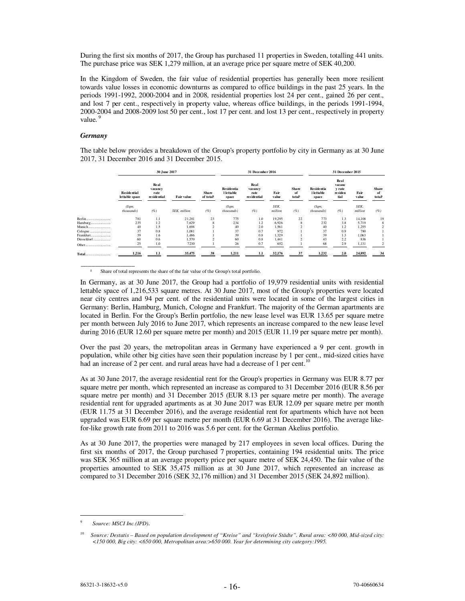During the first six months of 2017, the Group has purchased 11 properties in Sweden, totalling 441 units. The purchase price was SEK 1,279 million, at an average price per square metre of SEK 40,200.

In the Kingdom of Sweden, the fair value of residential properties has generally been more resilient towards value losses in economic downturns as compared to office buildings in the past 25 years. In the periods 1991-1992, 2000-2004 and in 2008, residential properties lost 24 per cent., gained 26 per cent., and lost 7 per cent., respectively in property value, whereas office buildings, in the periods 1991-1994, 2000-2004 and 2008-2009 lost 50 per cent., lost 17 per cent. and lost 13 per cent., respectively in property value.<sup>9</sup>

#### *Germany*

 $\overline{\phantom{a}}$  ,  $\overline{\phantom{a}}$  ,  $\overline{\phantom{a}}$  ,  $\overline{\phantom{a}}$  ,  $\overline{\phantom{a}}$  ,  $\overline{\phantom{a}}$  ,  $\overline{\phantom{a}}$  ,  $\overline{\phantom{a}}$  ,  $\overline{\phantom{a}}$  ,  $\overline{\phantom{a}}$  ,  $\overline{\phantom{a}}$  ,  $\overline{\phantom{a}}$  ,  $\overline{\phantom{a}}$  ,  $\overline{\phantom{a}}$  ,  $\overline{\phantom{a}}$  ,  $\overline{\phantom{a}}$ 

The table below provides a breakdown of the Group's property portfolio by city in Germany as at 30 June 2017, 31 December 2016 and 31 December 2015.

|            |                                      | 30 June 2017                             |                      | 31 December 2016         |                                          |                                        | 31 December 2015 |                      |                                                 |                                             |                 |                             |
|------------|--------------------------------------|------------------------------------------|----------------------|--------------------------|------------------------------------------|----------------------------------------|------------------|----------------------|-------------------------------------------------|---------------------------------------------|-----------------|-----------------------------|
|            | <b>Residential</b><br>lettable space | Real<br>vacancy<br>rate<br>re side ntial | <b>Fair value</b>    | <b>Share</b><br>of total | <b>Residentia</b><br>l lettable<br>space | Real<br>vacancy<br>rate<br>residential | Fair<br>value    | Share<br>of<br>total | <b>Residentia</b><br><b>l</b> lettable<br>space | Real<br>vacanc<br>y rate<br>residen<br>tial | Fair<br>value   | <b>Share</b><br>of<br>total |
|            | (Sqm,<br>thousands)                  | (%)                                      | <b>SEK</b> , million | (%)                      | (Sqm,<br>thousands)                      | (%)                                    | SEK.<br>million  | (%)                  | (Sqm,<br>thousands)                             | (%)                                         | SEK.<br>million | (%)                         |
|            | 781                                  | 1.1                                      | 21,281               | 23                       | 775                                      | 1.0                                    | 19,295           | 22                   | 773                                             | 1.3                                         | 14,108          | 19                          |
| Hamburg    | 235                                  | 1.2                                      | 7,629                | 8                        | 234                                      | 1.2                                    | 6,926            | 8                    | 232                                             | 3.8                                         | 5,719           | 8                           |
|            | 40                                   | 1.5                                      | 1,698                |                          | 40                                       | 2.0                                    | 1,561            |                      | 40                                              | 1.2                                         | 1,255           |                             |
|            | 37                                   | 0.8                                      | 1,081                |                          | 37                                       | 0.7                                    | 972              |                      | 37                                              | 0.9                                         | 780             |                             |
| Frankfurt  | 39                                   | 1.6                                      | 1,486                |                          | 39                                       | 0.8                                    | 1.329            |                      | 39                                              | 1.3                                         | 1,063           |                             |
| Düsseldorf | 60                                   | 0.6                                      | 1,570                |                          | 60                                       | 0.8                                    | 1.441            |                      | 43                                              | 2.2                                         | 836             |                             |
| Other<br>  | 25                                   | 1.0                                      | 7230                 |                          | 26                                       | 0.7                                    | 652              |                      | 68                                              | 2.9                                         | 1,131           |                             |
| Total      | 1,216                                | 1.1                                      | 35,475               | 38                       | 1,211                                    | 1.1                                    | 32,176           | 37                   | 1,232                                           | 2.0                                         | 24,892          | 34                          |

Share of total represents the share of the fair value of the Group's total portfolio.

In Germany, as at 30 June 2017, the Group had a portfolio of 19,979 residential units with residential lettable space of 1,216,533 square metres. At 30 June 2017, most of the Group's properties were located near city centres and 94 per cent. of the residential units were located in some of the largest cities in Germany: Berlin, Hamburg, Munich, Cologne and Frankfurt. The majority of the German apartments are located in Berlin. For the Group's Berlin portfolio, the new lease level was EUR 13.65 per square metre per month between July 2016 to June 2017, which represents an increase compared to the new lease level during 2016 (EUR 12.60 per square metre per month) and 2015 (EUR 11.19 per square metre per month).

Over the past 20 years, the metropolitan areas in Germany have experienced a 9 per cent. growth in population, while other big cities have seen their population increase by 1 per cent., mid-sized cities have had an increase of 2 per cent. and rural areas have had a decrease of 1 per cent.<sup>10</sup>

As at 30 June 2017, the average residential rent for the Group's properties in Germany was EUR 8.77 per square metre per month, which represented an increase as compared to 31 December 2016 (EUR 8.56 per square metre per month) and 31 December 2015 (EUR 8.13 per square metre per month). The average residential rent for upgraded apartments as at 30 June 2017 was EUR 12.09 per square metre per month (EUR 11.75 at 31 December 2016), and the average residential rent for apartments which have not been upgraded was EUR 6.69 per square metre per month (EUR 6.69 at 31 December 2016). The average likefor-like growth rate from 2011 to 2016 was 5.6 per cent. for the German Akelius portfolio.

As at 30 June 2017, the properties were managed by 217 employees in seven local offices. During the first six months of 2017, the Group purchased 7 properties, containing 194 residential units. The price was SEK 365 million at an average property price per square metre of SEK 24,450. The fair value of the properties amounted to SEK 35,475 million as at 30 June 2017, which represented an increase as compared to 31 December 2016 (SEK 32,176 million) and 31 December 2015 (SEK 24,892 million).

 $\overline{a}$ 

<sup>9</sup> *Source: MSCI Inc.(IPD).*

<sup>10</sup> *Source: Destatis – Based on population development of "Kreise" and "kreisfreie Städte". Rural area: <80 000, Mid-sized city: <150 000, Big city: <650 000, Metropolitan area:>650 000. Year for determining city category:1995.*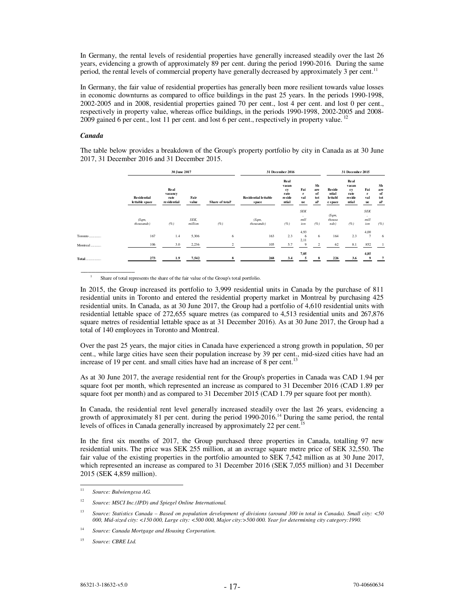In Germany, the rental levels of residential properties have generally increased steadily over the last 26 years, evidencing a growth of approximately 89 per cent. during the period 1990-2016. During the same period, the rental levels of commercial property have generally decreased by approximately 3 per cent.<sup>11</sup>

In Germany, the fair value of residential properties has generally been more resilient towards value losses in economic downturns as compared to office buildings in the past 25 years. In the periods 1990-1998, 2002-2005 and in 2008, residential properties gained 70 per cent., lost 4 per cent. and lost 0 per cent., respectively in property value, whereas office buildings, in the periods 1990-1998, 2002-2005 and 2008- 2009 gained 6 per cent., lost 11 per cent. and lost 6 per cent., respectively in property value.<sup>12</sup>

### *Canada*

 $\overline{\phantom{a}}$   $\overline{\phantom{a}}$   $\overline{\phantom{a}}$   $\overline{\phantom{a}}$   $\overline{\phantom{a}}$   $\overline{\phantom{a}}$   $\overline{\phantom{a}}$   $\overline{\phantom{a}}$   $\overline{\phantom{a}}$   $\overline{\phantom{a}}$   $\overline{\phantom{a}}$   $\overline{\phantom{a}}$   $\overline{\phantom{a}}$   $\overline{\phantom{a}}$   $\overline{\phantom{a}}$   $\overline{\phantom{a}}$   $\overline{\phantom{a}}$   $\overline{\phantom{a}}$   $\overline{\$ 

The table below provides a breakdown of the Group's property portfolio by city in Canada as at 30 June 2017, 31 December 2016 and 31 December 2015.

|                                                                                              |                                      | 30 June 2017                           | 31 December 2016 | 31 December 2015 |                                      |                                                       |                           |                                           |                                              |                                                |                                  |                                           |
|----------------------------------------------------------------------------------------------|--------------------------------------|----------------------------------------|------------------|------------------|--------------------------------------|-------------------------------------------------------|---------------------------|-------------------------------------------|----------------------------------------------|------------------------------------------------|----------------------------------|-------------------------------------------|
|                                                                                              | <b>Residential</b><br>lettable space | Real<br>vacancy<br>rate<br>residential | Fair<br>value    | Share of total   | <b>Residential lettable</b><br>space | Real<br>vacan<br>cy<br>rate<br><b>reside</b><br>ntial | Fai<br>r<br>val<br>ue     | Sh<br>are<br>of<br>tot<br>a <sup>11</sup> | <b>Reside</b><br>ntial<br>lettabl<br>e space | Real<br>vacan<br>cy<br>rate<br>reside<br>ntial | Fai<br>$\mathbf{r}$<br>val<br>ue | Sh<br>are<br>of<br>tot<br>al <sup>1</sup> |
|                                                                                              | (Sqm,<br>thousands)                  | (%)                                    | SEK.<br>million  | (% )             | (Sqm,<br>thousands)                  | (%)                                                   | <b>SEK</b><br>mill<br>ion | (%)                                       | (Sqm,<br>thousa<br>nds)                      | (%)                                            | <b>SEK</b><br>٠<br>mill<br>ion   | (%)                                       |
| $\operatorname{Toronto}\dots\hspace{-0.03cm}\dots\hspace{-0.03cm}\dots\hspace{-0.03cm}\dots$ | 167                                  | 1.4                                    | 5,306            | 6                | 163                                  | 2.3                                                   | 4,93<br>6<br>2,11         | 6                                         | 164                                          | 2.3                                            | 4,00<br>$\overline{7}$           | -6                                        |
| Montreal                                                                                     | 106                                  | 3.0                                    | 2,236            | $\overline{2}$   | 105                                  | 5.7                                                   | 9                         | $\overline{c}$                            | 62                                           | 8.1                                            | 852                              |                                           |
| $\operatorname{\mathbf{Total}}$                                                              | 273                                  | 1.9                                    | 7.542            | 8                | 268                                  | 3.4                                                   | 7,05                      | я                                         | 226                                          | 3.6                                            | 4,85                             | $\overline{7}$                            |

1 Share of total represents the share of the fair value of the Group's total portfolio.

In 2015, the Group increased its portfolio to 3,999 residential units in Canada by the purchase of 811 residential units in Toronto and entered the residential property market in Montreal by purchasing 425 residential units. In Canada, as at 30 June 2017, the Group had a portfolio of 4,610 residential units with residential lettable space of 272,655 square metres (as compared to 4,513 residential units and 267,876 square metres of residential lettable space as at 31 December 2016). As at 30 June 2017, the Group had a total of 140 employees in Toronto and Montreal.

Over the past 25 years, the major cities in Canada have experienced a strong growth in population, 50 per cent., while large cities have seen their population increase by 39 per cent., mid-sized cities have had an increase of 19 per cent. and small cities have had an increase of 8 per cent.<sup>13</sup>

As at 30 June 2017, the average residential rent for the Group's properties in Canada was CAD 1.94 per square foot per month, which represented an increase as compared to 31 December 2016 (CAD 1.89 per square foot per month) and as compared to 31 December 2015 (CAD 1.79 per square foot per month).

In Canada, the residential rent level generally increased steadily over the last 26 years, evidencing a growth of approximately 81 per cent. during the period 1990-2016.<sup>14</sup> During the same period, the rental levels of offices in Canada generally increased by approximately 22 per cent.<sup>1</sup>

In the first six months of 2017, the Group purchased three properties in Canada, totalling 97 new residential units. The price was SEK 255 million, at an average square metre price of SEK 32,550. The fair value of the existing properties in the portfolio amounted to SEK 7,542 million as at 30 June 2017, which represented an increase as compared to 31 December 2016 (SEK 7,055 million) and 31 December 2015 (SEK 4,859 million).

 $11\,$ <sup>11</sup> *Source: Bulwiengesa AG.*

<sup>12</sup>*Source: MSCI Inc.(IPD) and Spiegel Online International.* 

<sup>13</sup> *Source: Statistics Canada – Based on population development of divisions (around 300 in total in Canada). Small city: <50 000, Mid-sized city: <150 000, Large city: <500 000, Major city:>500 000. Year for determining city category:1990.*

<sup>14</sup> *Source: Canada Mortgage and Housing Corporation.* 

<sup>15</sup> *Source: CBRE Ltd.*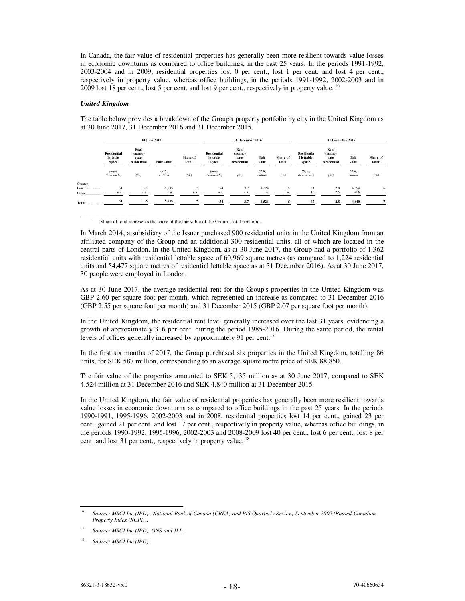In Canada, the fair value of residential properties has generally been more resilient towards value losses in economic downturns as compared to office buildings, in the past 25 years. In the periods 1991-1992, 2003-2004 and in 2009, residential properties lost 0 per cent., lost 1 per cent. and lost 4 per cent., respectively in property value, whereas office buildings, in the periods 1991-1992, 2002-2003 and in 2009 lost 18 per cent., lost 5 per cent. and lost 9 per cent., respectively in property value.<sup>16</sup>

#### *United Kingdom*

 $\overline{\phantom{a}}$   $\overline{\phantom{a}}$   $\overline{\phantom{a}}$   $\overline{\phantom{a}}$   $\overline{\phantom{a}}$   $\overline{\phantom{a}}$   $\overline{\phantom{a}}$   $\overline{\phantom{a}}$   $\overline{\phantom{a}}$   $\overline{\phantom{a}}$   $\overline{\phantom{a}}$   $\overline{\phantom{a}}$   $\overline{\phantom{a}}$   $\overline{\phantom{a}}$   $\overline{\phantom{a}}$   $\overline{\phantom{a}}$   $\overline{\phantom{a}}$   $\overline{\phantom{a}}$   $\overline{\$ 

The table below provides a breakdown of the Group's property portfolio by city in the United Kingdom as at 30 June 2017, 31 December 2016 and 31 December 2015.

|              |                                         | 30 June 2017                           |                   |                                |                                         | 31 December 2016                       |                 |                                | 31 December 2015                         |                                          |                 |                                |  |
|--------------|-----------------------------------------|----------------------------------------|-------------------|--------------------------------|-----------------------------------------|----------------------------------------|-----------------|--------------------------------|------------------------------------------|------------------------------------------|-----------------|--------------------------------|--|
|              | <b>Residential</b><br>lettable<br>space | Real<br>vacancy<br>rate<br>residential | <b>Fair value</b> | Share of<br>total <sup>1</sup> | <b>Residential</b><br>lettable<br>space | Real<br>vacancy<br>rate<br>residential | Fair<br>value   | Share of<br>total <sup>1</sup> | Residentia<br><b>l</b> lettable<br>space | Real<br>vacancy<br>rate<br>re side ntial | Fair<br>value   | Share of<br>total <sup>1</sup> |  |
|              | (Sqm,<br>thousands)                     | (%)                                    | SEK.<br>million   | (%)                            | (Sqm,<br>thous ands)                    | (%)                                    | SEK.<br>million | (% )                           | (Sqm,<br>thous ands)                     | (%)                                      | SEK.<br>million | (%)                            |  |
| Greater      |                                         |                                        |                   |                                |                                         |                                        |                 |                                |                                          |                                          |                 |                                |  |
| $London$     | 61                                      | 1.5                                    | 5,135             | 5                              | 54                                      | 3.7                                    | 4.524           |                                | 51                                       | 2.8                                      | 4.354           | 6                              |  |
| Other        | n.a.                                    | n.a.                                   | n.a.              | n.a.                           | n.a.                                    | n.a.                                   | n.a.            | n.a.                           | 16                                       | 2.5                                      | 486             |                                |  |
| <b>Total</b> | 61                                      | 1.5                                    | 5,135             | 5                              | 54                                      | 3.7                                    | 4,524           |                                | 67                                       | 2.8                                      | 4,840           |                                |  |

1 Share of total represents the share of the fair value of the Group's total portfolio.

In March 2014, a subsidiary of the Issuer purchased 900 residential units in the United Kingdom from an affiliated company of the Group and an additional 300 residential units, all of which are located in the central parts of London. In the United Kingdom, as at 30 June 2017, the Group had a portfolio of 1,362 residential units with residential lettable space of 60,969 square metres (as compared to 1,224 residential units and 54,477 square metres of residential lettable space as at 31 December 2016). As at 30 June 2017, 30 people were employed in London.

As at 30 June 2017, the average residential rent for the Group's properties in the United Kingdom was GBP 2.60 per square foot per month, which represented an increase as compared to 31 December 2016 (GBP 2.55 per square foot per month) and 31 December 2015 (GBP 2.07 per square foot per month).

In the United Kingdom, the residential rent level generally increased over the last 31 years, evidencing a growth of approximately 316 per cent. during the period 1985-2016. During the same period, the rental levels of offices generally increased by approximately 91 per cent.<sup>17</sup>

In the first six months of 2017, the Group purchased six properties in the United Kingdom, totalling 86 units, for SEK 587 million, corresponding to an average square metre price of SEK 88,850.

The fair value of the properties amounted to SEK 5,135 million as at 30 June 2017, compared to SEK 4,524 million at 31 December 2016 and SEK 4,840 million at 31 December 2015.

In the United Kingdom, the fair value of residential properties has generally been more resilient towards value losses in economic downturns as compared to office buildings in the past 25 years. In the periods 1990-1991, 1995-1996, 2002-2003 and in 2008, residential properties lost 14 per cent., gained 23 per cent., gained 21 per cent. and lost 17 per cent., respectively in property value, whereas office buildings, in the periods 1990-1992, 1995-1996, 2002-2003 and 2008-2009 lost 40 per cent., lost 6 per cent., lost 8 per cent. and lost 31 per cent., respectively in property value.<sup>18</sup>

 $16$ <sup>16</sup> *Source: MSCI Inc.(IPD)., National Bank of Canada (CREA) and BIS Quarterly Review, September 2002 (Russell Canadian Property Index (RCPI)).*

<sup>17</sup> *Source: MSCI Inc.(IPD), ONS and JLL.*

<sup>18</sup> *Source: MSCI Inc.(IPD).*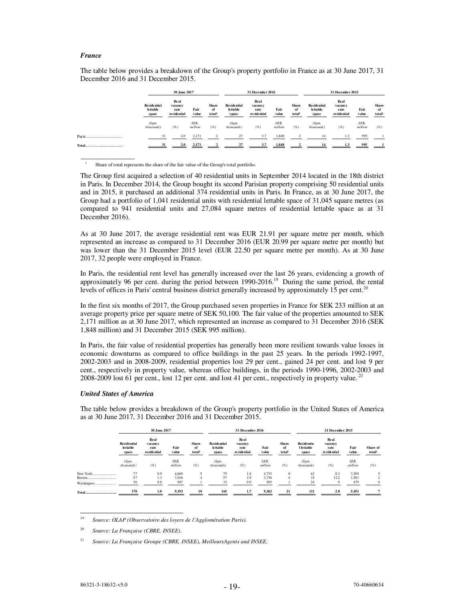#### *France*

 $\overline{\phantom{a}}$   $\overline{\phantom{a}}$   $\overline{\phantom{a}}$   $\overline{\phantom{a}}$   $\overline{\phantom{a}}$   $\overline{\phantom{a}}$   $\overline{\phantom{a}}$   $\overline{\phantom{a}}$   $\overline{\phantom{a}}$   $\overline{\phantom{a}}$   $\overline{\phantom{a}}$   $\overline{\phantom{a}}$   $\overline{\phantom{a}}$   $\overline{\phantom{a}}$   $\overline{\phantom{a}}$   $\overline{\phantom{a}}$   $\overline{\phantom{a}}$   $\overline{\phantom{a}}$   $\overline{\$ 

The table below provides a breakdown of the Group's property portfolio in France as at 30 June 2017, 31 December 2016 and 31 December 2015.

|       |                                         | 30 June 2017                                  |                 |                                          |                                         | 31 December 2016                       |                 |                             |                                         | 31 December 2015                       |                 |                      |  |
|-------|-----------------------------------------|-----------------------------------------------|-----------------|------------------------------------------|-----------------------------------------|----------------------------------------|-----------------|-----------------------------|-----------------------------------------|----------------------------------------|-----------------|----------------------|--|
|       | <b>Residential</b><br>lettable<br>space | <b>Real</b><br>vacancy<br>rate<br>residential | Fair<br>value   | <b>Share</b><br>of<br>total <sup>1</sup> | <b>Residential</b><br>lettable<br>space | Real<br>vacancy<br>rate<br>residential | Fair<br>value   | <b>Share</b><br>of<br>total | <b>Residential</b><br>lettable<br>space | Real<br>vacancy<br>rate<br>residential | Fair<br>value   | Share<br>of<br>total |  |
|       | (Sqm,<br>thousands                      | (%)                                           | SEK.<br>million | (%)                                      | (Sqm,<br>thous ands)                    | (%)                                    | SEK.<br>million | (%)                         | (Sqm,<br>thous ands)                    | (%)                                    | SEK.<br>million | (%)                  |  |
|       | 31                                      | 2.0                                           | 2,171           | $\sim$                                   | 27                                      | 3.7                                    | 1,848           |                             | 14                                      | 1.3                                    | 995             |                      |  |
| Total | 31                                      | 2.0                                           | 2,171           |                                          | 27                                      | 3.7                                    | 1,848           |                             | 14                                      | 1.3                                    | 995             |                      |  |

1 Share of total represents the share of the fair value of the Group's total portfolio.

The Group first acquired a selection of 40 residential units in September 2014 located in the 18th district in Paris. In December 2014, the Group bought its second Parisian property comprising 50 residential units and in 2015, it purchased an additional 374 residential units in Paris. In France, as at 30 June 2017, the Group had a portfolio of 1,041 residential units with residential lettable space of 31,045 square metres (as compared to 941 residential units and 27,084 square metres of residential lettable space as at 31 December 2016).

As at 30 June 2017, the average residential rent was EUR 21.91 per square metre per month, which represented an increase as compared to 31 December 2016 (EUR 20.99 per square metre per month) but was lower than the 31 December 2015 level (EUR 22.50 per square metre per month). As at 30 June 2017, 32 people were employed in France.

In Paris, the residential rent level has generally increased over the last 26 years, evidencing a growth of approximately 96 per cent. during the period between 1990-2016.<sup>19</sup> During the same period, the rental levels of offices in Paris' central business district generally increased by approximately 15 per cent.<sup>20</sup>

In the first six months of 2017, the Group purchased seven properties in France for SEK 233 million at an average property price per square metre of SEK 50,100. The fair value of the properties amounted to SEK 2,171 million as at 30 June 2017, which represented an increase as compared to 31 December 2016 (SEK 1,848 million) and 31 December 2015 (SEK 995 million).

In Paris, the fair value of residential properties has generally been more resilient towards value losses in economic downturns as compared to office buildings in the past 25 years. In the periods 1992-1997, 2002-2003 and in 2008-2009, residential properties lost 29 per cent., gained 24 per cent. and lost 9 per cent., respectively in property value, whereas office buildings, in the periods 1990-1996, 2002-2003 and 2008-2009 lost 61 per cent., lost 12 per cent. and lost 41 per cent., respectively in property value.<sup>21</sup>

## *United States of America*

The table below provides a breakdown of the Group's property portfolio in the United States of America as at 30 June 2017, 31 December 2016 and 31 December 2015.

|                      | 30 June 2017                            |                                        |                 |                      |                                          | 31 December 2016                              |                 |                             | 31 December 2015                         |                                                 |                 |                   |
|----------------------|-----------------------------------------|----------------------------------------|-----------------|----------------------|------------------------------------------|-----------------------------------------------|-----------------|-----------------------------|------------------------------------------|-------------------------------------------------|-----------------|-------------------|
|                      | <b>Residential</b><br>lettable<br>space | Real<br>vacancy<br>rate<br>residential | Fair<br>value   | Share<br>of<br>total | <b>Residential</b><br>le ttable<br>space | <b>Real</b><br>vacancy<br>rate<br>residential | Fair<br>value   | <b>Share</b><br>of<br>total | <b>Residentia</b><br>l lettable<br>space | <b>Real</b><br>vacancy<br>rate<br>re side ntial | Fair<br>value   | Share of<br>total |
|                      | (Sqm,<br>thous ands)                    | (% )                                   | SEK.<br>million | (%)                  | (Sqm,<br>thous ands)                     | (%)                                           | SEK.<br>million | (%)                         | (Sqm,<br>thous ands)                     | (%)                                             | SEK.<br>million | (%)               |
| New York             | 77                                      | 0.9                                    | 4,660           |                      | 75                                       | 1.0                                           | 4,733           | 6                           | 62                                       | 0.3                                             | 3,389           |                   |
| Boston<br>Washington | 57<br>36                                | 1.3<br>0.8                             | 3.546<br>987    | $\overline{4}$       | 57<br>33                                 | 2.8<br>0.9                                    | 3.736<br>893    |                             | 25<br>24                                 | 12.2<br>$\mathbf{0}$                            | 1,583<br>479    | $\theta$          |
|                      | 170                                     | 1.0                                    | 9,193           | 10                   | 165                                      | 1.7                                           | 9,362           | 11                          | 111                                      | 2.8                                             | 5,451           |                   |

 $\overline{a}$ <sup>19</sup> *Source: OLAP (Observatoire des loyers de l'Agglomération Paris).* 

<sup>20</sup> *Source: La Française (CBRE, INSEE).*

<sup>21</sup> *Source: La Française Groupe (CBRE, INSEE), MeilleursAgents and INSEE.*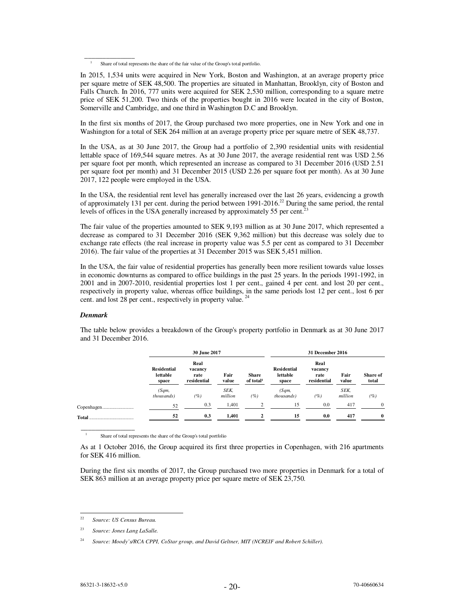In the first six months of 2017, the Group purchased two more properties, one in New York and one in Washington for a total of SEK 264 million at an average property price per square metre of SEK 48,737.

In the USA, as at 30 June 2017, the Group had a portfolio of 2,390 residential units with residential lettable space of 169,544 square metres. As at 30 June 2017, the average residential rent was USD 2.56 per square foot per month, which represented an increase as compared to 31 December 2016 (USD 2.51 per square foot per month) and 31 December 2015 (USD 2.26 per square foot per month). As at 30 June 2017, 122 people were employed in the USA.

In the USA, the residential rent level has generally increased over the last 26 years, evidencing a growth of approximately 131 per cent. during the period between 1991-2016.<sup>22</sup> During the same period, the rental levels of offices in the USA generally increased by approximately 55 per cent.<sup>23</sup>

The fair value of the properties amounted to SEK 9,193 million as at 30 June 2017, which represented a decrease as compared to 31 December 2016 (SEK 9,362 million) but this decrease was solely due to exchange rate effects (the real increase in property value was 5.5 per cent as compared to 31 December 2016). The fair value of the properties at 31 December 2015 was SEK 5,451 million.

In the USA, the fair value of residential properties has generally been more resilient towards value losses in economic downturns as compared to office buildings in the past 25 years. In the periods 1991-1992, in 2001 and in 2007-2010, residential properties lost 1 per cent., gained 4 per cent. and lost 20 per cent., respectively in property value, whereas office buildings, in the same periods lost 12 per cent., lost 6 per cent. and lost 28 per cent., respectively in property value.<sup>24</sup>

## *Denmark*

 $\overline{\phantom{a}}$   $\overline{\phantom{a}}$   $\overline{\phantom{a}}$   $\overline{\phantom{a}}$   $\overline{\phantom{a}}$   $\overline{\phantom{a}}$   $\overline{\phantom{a}}$   $\overline{\phantom{a}}$   $\overline{\phantom{a}}$   $\overline{\phantom{a}}$   $\overline{\phantom{a}}$   $\overline{\phantom{a}}$   $\overline{\phantom{a}}$   $\overline{\phantom{a}}$   $\overline{\phantom{a}}$   $\overline{\phantom{a}}$   $\overline{\phantom{a}}$   $\overline{\phantom{a}}$   $\overline{\$ 

|           |                                         | 30 June 2017                           |                 |                                       | 31 December 2016                        |                                        |                 |                   |  |
|-----------|-----------------------------------------|----------------------------------------|-----------------|---------------------------------------|-----------------------------------------|----------------------------------------|-----------------|-------------------|--|
|           | <b>Residential</b><br>lettable<br>space | Real<br>vacancy<br>rate<br>residential | Fair<br>value   | <b>Share</b><br>of total <sup>1</sup> | <b>Residential</b><br>lettable<br>space | Real<br>vacancy<br>rate<br>residential | Fair<br>value   | Share of<br>total |  |
|           | (Sqm,<br><i>thous ands</i> )            | (%)                                    | SEK,<br>million | (%)                                   | (Sqm,<br>thousands)                     | (%)                                    | SEK,<br>million | (%)               |  |
|           | 52                                      | 0.3                                    | 1,401           | $\mathfrak{D}$                        | 15                                      | 0.0                                    | 417             | $\Omega$          |  |
| Total<br> | 52                                      | 0.3                                    | 1,401           |                                       | 15                                      | 0.0                                    | 417             | $\mathbf{0}$      |  |

The table below provides a breakdown of the Group's property portfolio in Denmark as at 30 June 2017 and 31 December 2016.

1 Share of total represents the share of the Group's total portfolio

As at 1 October 2016, the Group acquired its first three properties in Copenhagen, with 216 apartments for SEK 416 million.

During the first six months of 2017, the Group purchased two more properties in Denmark for a total of SEK 863 million at an average property price per square metre of SEK 23,750.

 $\overline{\phantom{a}}$   $\overline{\phantom{a}}$   $\overline{\phantom{a}}$   $\overline{\phantom{a}}$   $\overline{\phantom{a}}$   $\overline{\phantom{a}}$   $\overline{\phantom{a}}$   $\overline{\phantom{a}}$   $\overline{\phantom{a}}$   $\overline{\phantom{a}}$   $\overline{\phantom{a}}$   $\overline{\phantom{a}}$   $\overline{\phantom{a}}$   $\overline{\phantom{a}}$   $\overline{\phantom{a}}$   $\overline{\phantom{a}}$   $\overline{\phantom{a}}$   $\overline{\phantom{a}}$   $\overline{\$ 

 $\overline{a}$ 

<sup>1</sup> Share of total represents the share of the fair value of the Group's total portfolio.

In 2015, 1,534 units were acquired in New York, Boston and Washington, at an average property price per square metre of SEK 48,500. The properties are situated in Manhattan, Brooklyn, city of Boston and Falls Church. In 2016, 777 units were acquired for SEK 2,530 million, corresponding to a square metre price of SEK 51,200. Two thirds of the properties bought in 2016 were located in the city of Boston, Somerville and Cambridge, and one third in Washington D.C and Brooklyn.

<sup>22</sup> *Source: US Census Bureau.* 

<sup>23</sup> *Source: Jones Lang LaSalle.* 

<sup>24</sup> *Source: Moody's/RCA CPPI, CoStar group, and David Geltner, MIT (NCREIF and Robert Schiller).*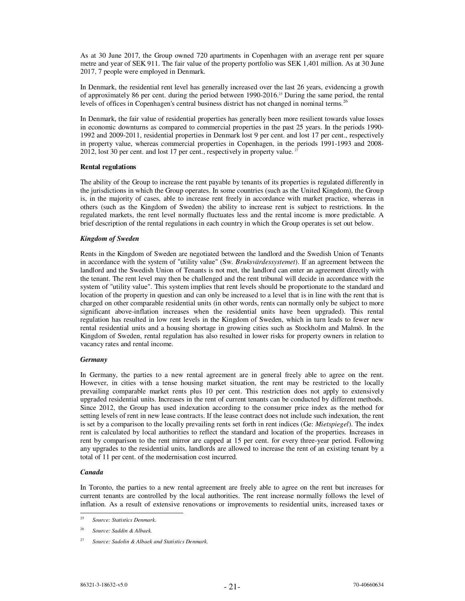As at 30 June 2017, the Group owned 720 apartments in Copenhagen with an average rent per square metre and year of SEK 911. The fair value of the property portfolio was SEK 1,401 million. As at 30 June 2017, 7 people were employed in Denmark.

In Denmark, the residential rent level has generally increased over the last 26 years, evidencing a growth of approximately 86 per cent. during the period between 1990-2016.25 During the same period, the rental levels of offices in Copenhagen's central business district has not changed in nominal terms.<sup>26</sup>

In Denmark, the fair value of residential properties has generally been more resilient towards value losses in economic downturns as compared to commercial properties in the past 25 years. In the periods 1990- 1992 and 2009-2011, residential properties in Denmark lost 9 per cent. and lost 17 per cent., respectively in property value, whereas commercial properties in Copenhagen, in the periods 1991-1993 and 2008- 2012, lost 30 per cent. and lost 17 per cent., respectively in property value.<sup>27</sup>

### **Rental regulations**

The ability of the Group to increase the rent payable by tenants of its properties is regulated differently in the jurisdictions in which the Group operates. In some countries (such as the United Kingdom), the Group is, in the majority of cases, able to increase rent freely in accordance with market practice, whereas in others (such as the Kingdom of Sweden) the ability to increase rent is subject to restrictions. In the regulated markets, the rent level normally fluctuates less and the rental income is more predictable. A brief description of the rental regulations in each country in which the Group operates is set out below.

### *Kingdom of Sweden*

Rents in the Kingdom of Sweden are negotiated between the landlord and the Swedish Union of Tenants in accordance with the system of "utility value" (Sw*. Bruksvärdessystemet*). If an agreement between the landlord and the Swedish Union of Tenants is not met, the landlord can enter an agreement directly with the tenant. The rent level may then be challenged and the rent tribunal will decide in accordance with the system of "utility value". This system implies that rent levels should be proportionate to the standard and location of the property in question and can only be increased to a level that is in line with the rent that is charged on other comparable residential units (in other words, rents can normally only be subject to more significant above-inflation increases when the residential units have been upgraded). This rental regulation has resulted in low rent levels in the Kingdom of Sweden, which in turn leads to fewer new rental residential units and a housing shortage in growing cities such as Stockholm and Malmö. In the Kingdom of Sweden, rental regulation has also resulted in lower risks for property owners in relation to vacancy rates and rental income.

#### *Germany*

In Germany, the parties to a new rental agreement are in general freely able to agree on the rent. However, in cities with a tense housing market situation, the rent may be restricted to the locally prevailing comparable market rents plus 10 per cent. This restriction does not apply to extensively upgraded residential units. Increases in the rent of current tenants can be conducted by different methods. Since 2012, the Group has used indexation according to the consumer price index as the method for setting levels of rent in new lease contracts. If the lease contract does not include such indexation, the rent is set by a comparison to the locally prevailing rents set forth in rent indices (Ge: *Mietspiegel*). The index rent is calculated by local authorities to reflect the standard and location of the properties. Increases in rent by comparison to the rent mirror are capped at 15 per cent. for every three-year period. Following any upgrades to the residential units, landlords are allowed to increase the rent of an existing tenant by a total of 11 per cent. of the modernisation cost incurred.

#### *Canada*

 $\overline{a}$ 

In Toronto, the parties to a new rental agreement are freely able to agree on the rent but increases for current tenants are controlled by the local authorities. The rent increase normally follows the level of inflation. As a result of extensive renovations or improvements to residential units, increased taxes or

<sup>25</sup> *Source: Statistics Denmark.* 

<sup>26</sup> *Source: Saddin & Albaek.* 

<sup>27</sup> *Source: Sadolin & Albaek and Statistics Denmark.*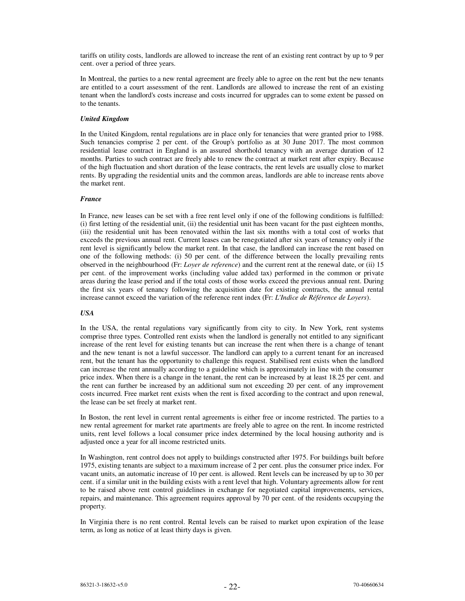tariffs on utility costs, landlords are allowed to increase the rent of an existing rent contract by up to 9 per cent. over a period of three years.

In Montreal, the parties to a new rental agreement are freely able to agree on the rent but the new tenants are entitled to a court assessment of the rent. Landlords are allowed to increase the rent of an existing tenant when the landlord's costs increase and costs incurred for upgrades can to some extent be passed on to the tenants.

## *United Kingdom*

In the United Kingdom, rental regulations are in place only for tenancies that were granted prior to 1988. Such tenancies comprise 2 per cent. of the Group's portfolio as at 30 June 2017. The most common residential lease contract in England is an assured shorthold tenancy with an average duration of 12 months. Parties to such contract are freely able to renew the contract at market rent after expiry. Because of the high fluctuation and short duration of the lease contracts, the rent levels are usually close to market rents. By upgrading the residential units and the common areas, landlords are able to increase rents above the market rent.

#### *France*

In France, new leases can be set with a free rent level only if one of the following conditions is fulfilled: (i) first letting of the residential unit, (ii) the residential unit has been vacant for the past eighteen months, (iii) the residential unit has been renovated within the last six months with a total cost of works that exceeds the previous annual rent. Current leases can be renegotiated after six years of tenancy only if the rent level is significantly below the market rent. In that case, the landlord can increase the rent based on one of the following methods: (i) 50 per cent. of the difference between the locally prevailing rents observed in the neighbourhood (Fr: *Loyer de reference*) and the current rent at the renewal date, or (ii) 15 per cent. of the improvement works (including value added tax) performed in the common or private areas during the lease period and if the total costs of those works exceed the previous annual rent. During the first six years of tenancy following the acquisition date for existing contracts, the annual rental increase cannot exceed the variation of the reference rent index (Fr: *L'Indice de Référence de Loyers*).

## *USA*

In the USA, the rental regulations vary significantly from city to city. In New York, rent systems comprise three types. Controlled rent exists when the landlord is generally not entitled to any significant increase of the rent level for existing tenants but can increase the rent when there is a change of tenant and the new tenant is not a lawful successor. The landlord can apply to a current tenant for an increased rent, but the tenant has the opportunity to challenge this request. Stabilised rent exists when the landlord can increase the rent annually according to a guideline which is approximately in line with the consumer price index. When there is a change in the tenant, the rent can be increased by at least 18.25 per cent. and the rent can further be increased by an additional sum not exceeding 20 per cent. of any improvement costs incurred. Free market rent exists when the rent is fixed according to the contract and upon renewal, the lease can be set freely at market rent.

In Boston, the rent level in current rental agreements is either free or income restricted. The parties to a new rental agreement for market rate apartments are freely able to agree on the rent. In income restricted units, rent level follows a local consumer price index determined by the local housing authority and is adjusted once a year for all income restricted units.

In Washington, rent control does not apply to buildings constructed after 1975. For buildings built before 1975, existing tenants are subject to a maximum increase of 2 per cent. plus the consumer price index. For vacant units, an automatic increase of 10 per cent. is allowed. Rent levels can be increased by up to 30 per cent. if a similar unit in the building exists with a rent level that high. Voluntary agreements allow for rent to be raised above rent control guidelines in exchange for negotiated capital improvements, services, repairs, and maintenance. This agreement requires approval by 70 per cent. of the residents occupying the property.

In Virginia there is no rent control. Rental levels can be raised to market upon expiration of the lease term, as long as notice of at least thirty days is given.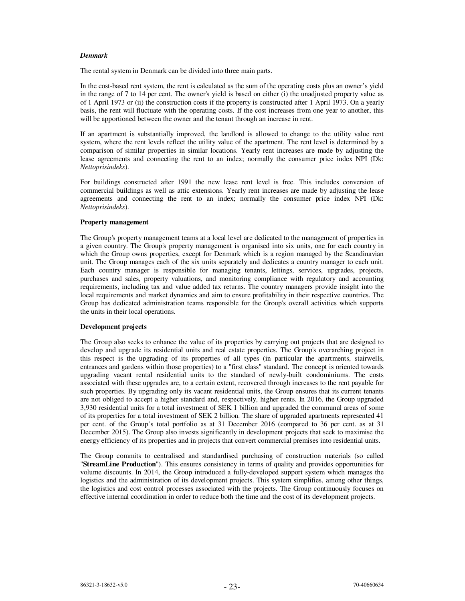#### *Denmark*

The rental system in Denmark can be divided into three main parts.

In the cost-based rent system, the rent is calculated as the sum of the operating costs plus an owner's yield in the range of 7 to 14 per cent. The owner's yield is based on either (i) the unadjusted property value as of 1 April 1973 or (ii) the construction costs if the property is constructed after 1 April 1973. On a yearly basis, the rent will fluctuate with the operating costs. If the cost increases from one year to another, this will be apportioned between the owner and the tenant through an increase in rent.

If an apartment is substantially improved, the landlord is allowed to change to the utility value rent system, where the rent levels reflect the utility value of the apartment. The rent level is determined by a comparison of similar properties in similar locations. Yearly rent increases are made by adjusting the lease agreements and connecting the rent to an index; normally the consumer price index NPI (Dk: *Nettoprisindeks*).

For buildings constructed after 1991 the new lease rent level is free. This includes conversion of commercial buildings as well as attic extensions. Yearly rent increases are made by adjusting the lease agreements and connecting the rent to an index; normally the consumer price index NPI (Dk: *Nettoprisindeks*).

### **Property management**

The Group's property management teams at a local level are dedicated to the management of properties in a given country. The Group's property management is organised into six units, one for each country in which the Group owns properties, except for Denmark which is a region managed by the Scandinavian unit. The Group manages each of the six units separately and dedicates a country manager to each unit. Each country manager is responsible for managing tenants, lettings, services, upgrades, projects, purchases and sales, property valuations, and monitoring compliance with regulatory and accounting requirements, including tax and value added tax returns. The country managers provide insight into the local requirements and market dynamics and aim to ensure profitability in their respective countries. The Group has dedicated administration teams responsible for the Group's overall activities which supports the units in their local operations.

## **Development projects**

The Group also seeks to enhance the value of its properties by carrying out projects that are designed to develop and upgrade its residential units and real estate properties. The Group's overarching project in this respect is the upgrading of its properties of all types (in particular the apartments, stairwells, entrances and gardens within those properties) to a "first class" standard. The concept is oriented towards upgrading vacant rental residential units to the standard of newly-built condominiums. The costs associated with these upgrades are, to a certain extent, recovered through increases to the rent payable for such properties. By upgrading only its vacant residential units, the Group ensures that its current tenants are not obliged to accept a higher standard and, respectively, higher rents. In 2016, the Group upgraded 3,930 residential units for a total investment of SEK 1 billion and upgraded the communal areas of some of its properties for a total investment of SEK 2 billion. The share of upgraded apartments represented 41 per cent. of the Group's total portfolio as at 31 December 2016 (compared to 36 per cent. as at 31 December 2015). The Group also invests significantly in development projects that seek to maximise the energy efficiency of its properties and in projects that convert commercial premises into residential units.

The Group commits to centralised and standardised purchasing of construction materials (so called "**StreamLine Production**"). This ensures consistency in terms of quality and provides opportunities for volume discounts. In 2014, the Group introduced a fully-developed support system which manages the logistics and the administration of its development projects. This system simplifies, among other things, the logistics and cost control processes associated with the projects. The Group continuously focuses on effective internal coordination in order to reduce both the time and the cost of its development projects.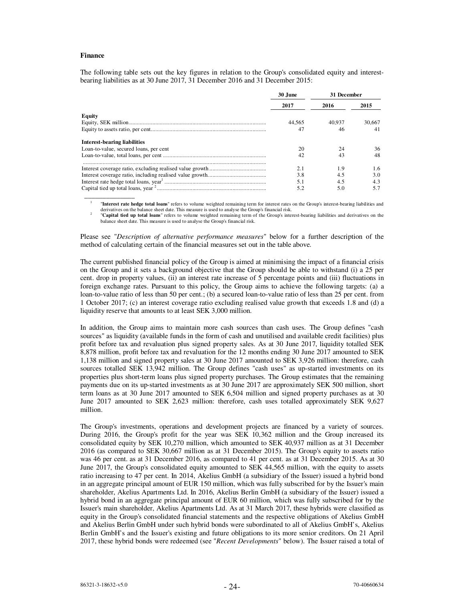#### **Finance**

The following table sets out the key figures in relation to the Group's consolidated equity and interestbearing liabilities as at 30 June 2017, 31 December 2016 and 31 December 2015:

|                                        | 30 June | 31 December |        |
|----------------------------------------|---------|-------------|--------|
|                                        | 2017    | 2016        | 2015   |
| Equity                                 |         |             |        |
|                                        | 44.565  | 40.937      | 30.667 |
|                                        | 47      | 46          | 41     |
| <b>Interest-bearing liabilities</b>    |         |             |        |
| Loan-to-value, secured loans, per cent | 20      | 24          | 36     |
|                                        | 42      | 43          | 48     |
|                                        | 2.1     | 1.9         | 1.6    |
|                                        | 3.8     | 4.5         | 3.0    |
|                                        | 5.1     | 4.5         | 4.3    |
|                                        | 5.2     | 5.0         | 5.7    |
|                                        |         |             |        |

1 "**Interest rate hedge total loans**" refers to volume weighted remaining term for interest rates on the Group's interest-bearing liabilities and derivatives on the balance sheet date. This measure is used to analyse the Group's financial risk. 2

 "**Capital tied up total loans**" refers to volume weighted remaining term of the Group's interest-bearing liabilities and derivatives on the balance sheet date. This measure is used to analyse the Group's financial risk.

Please see "*Description of alternative performance measures*" below for a further description of the method of calculating certain of the financial measures set out in the table above.

The current published financial policy of the Group is aimed at minimising the impact of a financial crisis on the Group and it sets a background objective that the Group should be able to withstand (i) a 25 per cent. drop in property values, (ii) an interest rate increase of 5 percentage points and (iii) fluctuations in foreign exchange rates. Pursuant to this policy, the Group aims to achieve the following targets: (a) a loan-to-value ratio of less than 50 per cent.; (b) a secured loan-to-value ratio of less than 25 per cent. from 1 October 2017; (c) an interest coverage ratio excluding realised value growth that exceeds 1.8 and (d) a liquidity reserve that amounts to at least SEK 3,000 million.

In addition, the Group aims to maintain more cash sources than cash uses. The Group defines "cash sources" as liquidity (available funds in the form of cash and unutilised and available credit facilities) plus profit before tax and revaluation plus signed property sales. As at 30 June 2017, liquidity totalled SEK 8,878 million, profit before tax and revaluation for the 12 months ending 30 June 2017 amounted to SEK 1,138 million and signed property sales at 30 June 2017 amounted to SEK 3,926 million: therefore, cash sources totalled SEK 13,942 million. The Group defines "cash uses" as up-started investments on its properties plus short-term loans plus signed property purchases. The Group estimates that the remaining payments due on its up-started investments as at 30 June 2017 are approximately SEK 500 million, short term loans as at 30 June 2017 amounted to SEK 6,504 million and signed property purchases as at 30 June 2017 amounted to SEK 2,623 million: therefore, cash uses totalled approximately SEK 9,627 million.

The Group's investments, operations and development projects are financed by a variety of sources. During 2016, the Group's profit for the year was SEK 10,362 million and the Group increased its consolidated equity by SEK 10,270 million, which amounted to SEK 40,937 million as at 31 December 2016 (as compared to SEK 30,667 million as at 31 December 2015). The Group's equity to assets ratio was 46 per cent. as at 31 December 2016, as compared to 41 per cent. as at 31 December 2015. As at 30 June 2017, the Group's consolidated equity amounted to SEK 44,565 million, with the equity to assets ratio increasing to 47 per cent. In 2014, Akelius GmbH (a subsidiary of the Issuer) issued a hybrid bond in an aggregate principal amount of EUR 150 million, which was fully subscribed for by the Issuer's main shareholder, Akelius Apartments Ltd. In 2016, Akelius Berlin GmbH (a subsidiary of the Issuer) issued a hybrid bond in an aggregate principal amount of EUR 60 million, which was fully subscribed for by the Issuer's main shareholder, Akelius Apartments Ltd. As at 31 March 2017, these hybrids were classified as equity in the Group's consolidated financial statements and the respective obligations of Akelius GmbH and Akelius Berlin GmbH under such hybrid bonds were subordinated to all of Akelius GmbH's, Akelius Berlin GmbH's and the Issuer's existing and future obligations to its more senior creditors. On 21 April 2017, these hybrid bonds were redeemed (see "*Recent Developments*" below). The Issuer raised a total of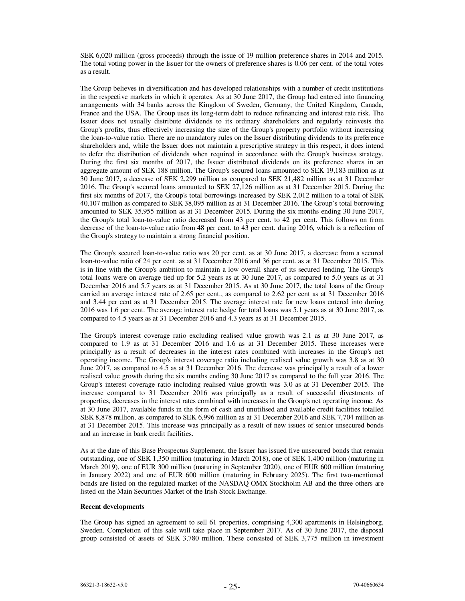SEK 6,020 million (gross proceeds) through the issue of 19 million preference shares in 2014 and 2015. The total voting power in the Issuer for the owners of preference shares is 0.06 per cent. of the total votes as a result.

The Group believes in diversification and has developed relationships with a number of credit institutions in the respective markets in which it operates. As at 30 June 2017, the Group had entered into financing arrangements with 34 banks across the Kingdom of Sweden, Germany, the United Kingdom, Canada, France and the USA. The Group uses its long-term debt to reduce refinancing and interest rate risk. The Issuer does not usually distribute dividends to its ordinary shareholders and regularly reinvests the Group's profits, thus effectively increasing the size of the Group's property portfolio without increasing the loan-to-value ratio. There are no mandatory rules on the Issuer distributing dividends to its preference shareholders and, while the Issuer does not maintain a prescriptive strategy in this respect, it does intend to defer the distribution of dividends when required in accordance with the Group's business strategy. During the first six months of 2017, the Issuer distributed dividends on its preference shares in an aggregate amount of SEK 188 million. The Group's secured loans amounted to SEK 19,183 million as at 30 June 2017, a decrease of SEK 2,299 million as compared to SEK 21,482 million as at 31 December 2016. The Group's secured loans amounted to SEK 27,126 million as at 31 December 2015. During the first six months of 2017, the Group's total borrowings increased by SEK 2,012 million to a total of SEK 40,107 million as compared to SEK 38,095 million as at 31 December 2016. The Group's total borrowing amounted to SEK 35,955 million as at 31 December 2015. During the six months ending 30 June 2017, the Group's total loan-to-value ratio decreased from 43 per cent. to 42 per cent. This follows on from decrease of the loan-to-value ratio from 48 per cent. to 43 per cent. during 2016, which is a reflection of the Group's strategy to maintain a strong financial position.

The Group's secured loan-to-value ratio was 20 per cent. as at 30 June 2017, a decrease from a secured loan-to-value ratio of 24 per cent. as at 31 December 2016 and 36 per cent. as at 31 December 2015. This is in line with the Group's ambition to maintain a low overall share of its secured lending. The Group's total loans were on average tied up for 5.2 years as at 30 June 2017, as compared to 5.0 years as at 31 December 2016 and 5.7 years as at 31 December 2015. As at 30 June 2017, the total loans of the Group carried an average interest rate of 2.65 per cent., as compared to 2.62 per cent as at 31 December 2016 and 3.44 per cent as at 31 December 2015. The average interest rate for new loans entered into during 2016 was 1.6 per cent. The average interest rate hedge for total loans was 5.1 years as at 30 June 2017, as compared to 4.5 years as at 31 December 2016 and 4.3 years as at 31 December 2015.

The Group's interest coverage ratio excluding realised value growth was 2.1 as at 30 June 2017, as compared to 1.9 as at 31 December 2016 and 1.6 as at 31 December 2015. These increases were principally as a result of decreases in the interest rates combined with increases in the Group's net operating income. The Group's interest coverage ratio including realised value growth was 3.8 as at 30 June 2017, as compared to 4.5 as at 31 December 2016. The decrease was principally a result of a lower realised value growth during the six months ending 30 June 2017 as compared to the full year 2016. The Group's interest coverage ratio including realised value growth was 3.0 as at 31 December 2015. The increase compared to 31 December 2016 was principally as a result of successful divestments of properties, decreases in the interest rates combined with increases in the Group's net operating income. As at 30 June 2017, available funds in the form of cash and unutilised and available credit facilities totalled SEK 8,878 million, as compared to SEK 6,996 million as at 31 December 2016 and SEK 7,704 million as at 31 December 2015. This increase was principally as a result of new issues of senior unsecured bonds and an increase in bank credit facilities.

As at the date of this Base Prospectus Supplement, the Issuer has issued five unsecured bonds that remain outstanding, one of SEK 1,350 million (maturing in March 2018), one of SEK 1,400 million (maturing in March 2019), one of EUR 300 million (maturing in September 2020), one of EUR 600 million (maturing in January 2022) and one of EUR 600 million (maturing in February 2025). The first two-mentioned bonds are listed on the regulated market of the NASDAQ OMX Stockholm AB and the three others are listed on the Main Securities Market of the Irish Stock Exchange.

#### **Recent developments**

The Group has signed an agreement to sell 61 properties, comprising 4,300 apartments in Helsingborg, Sweden. Completion of this sale will take place in September 2017. As of 30 June 2017, the disposal group consisted of assets of SEK 3,780 million. These consisted of SEK 3,775 million in investment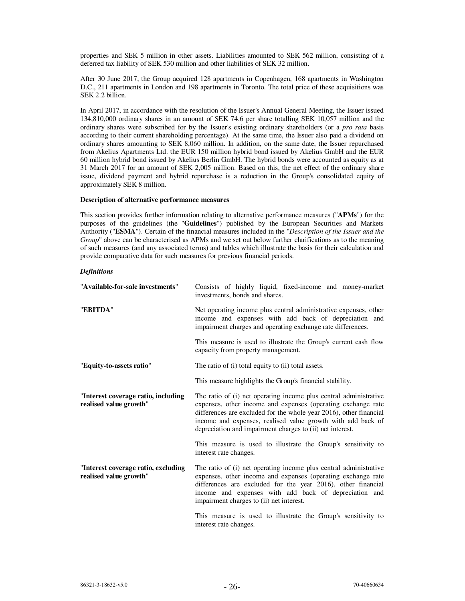properties and SEK 5 million in other assets. Liabilities amounted to SEK 562 million, consisting of a deferred tax liability of SEK 530 million and other liabilities of SEK 32 million.

After 30 June 2017, the Group acquired 128 apartments in Copenhagen, 168 apartments in Washington D.C., 211 apartments in London and 198 apartments in Toronto. The total price of these acquisitions was SEK 2.2 billion.

In April 2017, in accordance with the resolution of the Issuer's Annual General Meeting, the Issuer issued 134,810,000 ordinary shares in an amount of SEK 74.6 per share totalling SEK 10,057 million and the ordinary shares were subscribed for by the Issuer's existing ordinary shareholders (or a *pro rata* basis according to their current shareholding percentage). At the same time, the Issuer also paid a dividend on ordinary shares amounting to SEK 8,060 million. In addition, on the same date, the Issuer repurchased from Akelius Apartments Ltd. the EUR 150 million hybrid bond issued by Akelius GmbH and the EUR 60 million hybrid bond issued by Akelius Berlin GmbH. The hybrid bonds were accounted as equity as at 31 March 2017 for an amount of SEK 2,005 million. Based on this, the net effect of the ordinary share issue, dividend payment and hybrid repurchase is a reduction in the Group's consolidated equity of approximately SEK 8 million.

#### **Description of alternative performance measures**

This section provides further information relating to alternative performance measures ("**APMs**") for the purposes of the guidelines (the "**Guidelines**") published by the European Securities and Markets Authority ("**ESMA**"). Certain of the financial measures included in the "*Description of the Issuer and the Group*" above can be characterised as APMs and we set out below further clarifications as to the meaning of such measures (and any associated terms) and tables which illustrate the basis for their calculation and provide comparative data for such measures for previous financial periods.

#### *Definitions*

| "Available-for-sale investments"                              | Consists of highly liquid, fixed-income and money-market<br>investments, bonds and shares.                                                                                                                                                                                                                                          |
|---------------------------------------------------------------|-------------------------------------------------------------------------------------------------------------------------------------------------------------------------------------------------------------------------------------------------------------------------------------------------------------------------------------|
| "EBITDA"                                                      | Net operating income plus central administrative expenses, other<br>income and expenses with add back of depreciation and<br>impairment charges and operating exchange rate differences.                                                                                                                                            |
|                                                               | This measure is used to illustrate the Group's current cash flow<br>capacity from property management.                                                                                                                                                                                                                              |
| "Equity-to-assets ratio"                                      | The ratio of (i) total equity to (ii) total assets.                                                                                                                                                                                                                                                                                 |
|                                                               | This measure highlights the Group's financial stability.                                                                                                                                                                                                                                                                            |
| "Interest coverage ratio, including<br>realised value growth" | The ratio of (i) net operating income plus central administrative<br>expenses, other income and expenses (operating exchange rate<br>differences are excluded for the whole year 2016), other financial<br>income and expenses, realised value growth with add back of<br>depreciation and impairment charges to (ii) net interest. |
|                                                               | This measure is used to illustrate the Group's sensitivity to<br>interest rate changes.                                                                                                                                                                                                                                             |
| "Interest coverage ratio, excluding<br>realised value growth" | The ratio of (i) net operating income plus central administrative<br>expenses, other income and expenses (operating exchange rate<br>differences are excluded for the year 2016), other financial<br>income and expenses with add back of depreciation and<br>impairment charges to (ii) net interest.                              |
|                                                               | This measure is used to illustrate the Group's sensitivity to<br>interest rate changes.                                                                                                                                                                                                                                             |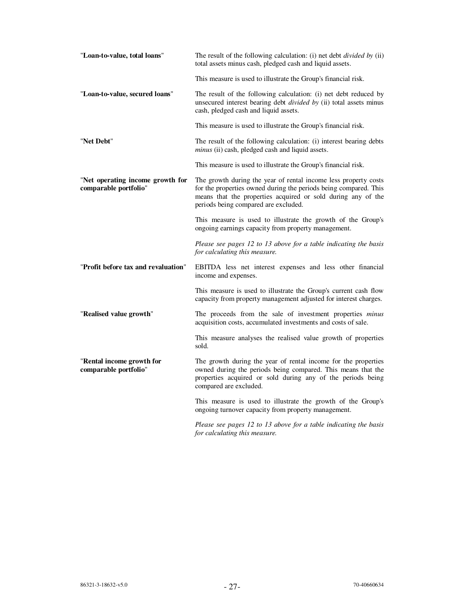| "Loan-to-value, total loans"                              | The result of the following calculation: (i) net debt <i>divided by</i> (ii)<br>total assets minus cash, pledged cash and liquid assets.                                                                                                    |
|-----------------------------------------------------------|---------------------------------------------------------------------------------------------------------------------------------------------------------------------------------------------------------------------------------------------|
|                                                           | This measure is used to illustrate the Group's financial risk.                                                                                                                                                                              |
| "Loan-to-value, secured loans"                            | The result of the following calculation: (i) net debt reduced by<br>unsecured interest bearing debt <i>divided by</i> (ii) total assets minus<br>cash, pledged cash and liquid assets.                                                      |
|                                                           | This measure is used to illustrate the Group's financial risk.                                                                                                                                                                              |
| "Net Debt"                                                | The result of the following calculation: (i) interest bearing debts<br>minus (ii) cash, pledged cash and liquid assets.                                                                                                                     |
|                                                           | This measure is used to illustrate the Group's financial risk.                                                                                                                                                                              |
| "Net operating income growth for<br>comparable portfolio" | The growth during the year of rental income less property costs<br>for the properties owned during the periods being compared. This<br>means that the properties acquired or sold during any of the<br>periods being compared are excluded. |
|                                                           | This measure is used to illustrate the growth of the Group's<br>ongoing earnings capacity from property management.                                                                                                                         |
|                                                           | Please see pages 12 to 13 above for a table indicating the basis<br>for calculating this measure.                                                                                                                                           |
| "Profit before tax and revaluation"                       | EBITDA less net interest expenses and less other financial<br>income and expenses.                                                                                                                                                          |
|                                                           | This measure is used to illustrate the Group's current cash flow<br>capacity from property management adjusted for interest charges.                                                                                                        |
| "Realised value growth"                                   | The proceeds from the sale of investment properties minus<br>acquisition costs, accumulated investments and costs of sale.                                                                                                                  |
|                                                           | This measure analyses the realised value growth of properties<br>sold.                                                                                                                                                                      |
| "Rental income growth for<br>comparable portfolio"        | The growth during the year of rental income for the properties<br>owned during the periods being compared. This means that the<br>properties acquired or sold during any of the periods being<br>compared are excluded.                     |
|                                                           | This measure is used to illustrate the growth of the Group's<br>ongoing turnover capacity from property management.                                                                                                                         |
|                                                           | Please see pages 12 to 13 above for a table indicating the basis<br>for calculating this measure.                                                                                                                                           |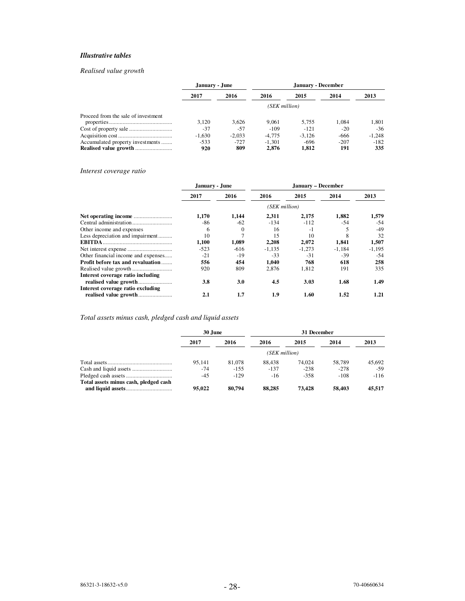## *Illustrative tables*

## *Realised value growth*

|                                     | January - June |          |          | January - December |        |          |
|-------------------------------------|----------------|----------|----------|--------------------|--------|----------|
|                                     | 2017           | 2016     | 2016     | 2015               | 2014   | 2013     |
|                                     | (SEK million)  |          |          |                    |        |          |
| Proceed from the sale of investment |                |          |          |                    |        |          |
|                                     | 3.120          | 3.626    | 9.061    | 5.755              | 1.084  | 1.801    |
|                                     | $-37$          | $-57$    | $-109$   | $-121$             | $-20$  | $-36$    |
|                                     | $-1.630$       | $-2.033$ | $-4.775$ | $-3.126$           | -666   | $-1,248$ |
| Accumulated property investments    | $-533$         | $-727$   | $-1.301$ | -696               | $-207$ | $-182$   |
|                                     | 920            | 809      | 2.876    | 1,812              | 191    | 335      |

## *Interest coverage ratio*

|                                     | January - June |            |          | January – December |          |          |  |  |
|-------------------------------------|----------------|------------|----------|--------------------|----------|----------|--|--|
|                                     | 2017           | 2016       | 2016     | 2015               | 2014     | 2013     |  |  |
|                                     | (SEK million)  |            |          |                    |          |          |  |  |
|                                     | 1.170          | 1,144      | 2.311    | 2,175              | 1,882    | 1,579    |  |  |
|                                     | -86            | $-62$      | $-134$   | $-112$             | -54      | $-54$    |  |  |
| Other income and expenses           | 6              | $\left($   | 16       | $-1$               |          | -49      |  |  |
| Less depreciation and impairment    | 10             |            | 15       | 10                 | 8        | 32       |  |  |
|                                     | 1,100          | 1,089      | 2,208    | 2,072              | 1,841    | 1,507    |  |  |
|                                     | $-523$         | -616       | $-1,135$ | $-1,273$           | $-1.184$ | $-1,195$ |  |  |
| Other financial income and expenses | $-21$          | $-19$      | $-33$    | $-31$              | $-39$    | $-54$    |  |  |
| Profit before tax and revaluation   | 556            | 454        | 1,040    | 768                | 618      | 258      |  |  |
|                                     | 920            | 809        | 2.876    | 1.812              | 191      | 335      |  |  |
| Interest coverage ratio including   |                |            |          |                    |          |          |  |  |
|                                     | 3.8            | <b>3.0</b> | 4.5      | 3.03               | 1.68     | 1.49     |  |  |
| Interest coverage ratio excluding   |                |            |          |                    |          |          |  |  |
|                                     | 2.1            | 1.7        | 1.9      | 1.60               | 1.52     | 1.21     |  |  |

## *Total assets minus cash, pledged cash and liquid assets*

|                                       | 30 June       |         |        | 31 December |        |        |  |  |
|---------------------------------------|---------------|---------|--------|-------------|--------|--------|--|--|
|                                       | 2017          | 2016    | 2016   | 2015        | 2014   | 2013   |  |  |
|                                       | (SEK million) |         |        |             |        |        |  |  |
|                                       | 95.141        | 81,078  | 88.438 | 74.024      | 58,789 | 45.692 |  |  |
|                                       | -74           | $-1.55$ | $-137$ | $-238$      | $-278$ | -59    |  |  |
|                                       | $-4.5$        | $-129$  | $-16$  | $-358$      | $-108$ | $-116$ |  |  |
| Total assets minus cash, pledged cash | 95,022        | 80.794  | 88.285 | 73.428      | 58,403 | 45.517 |  |  |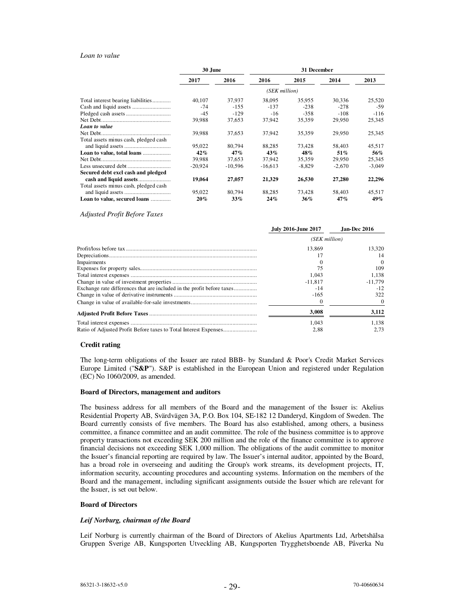#### *Loan to value*

|                                       | 30 June       |           |           | 31 December |          |          |  |  |  |
|---------------------------------------|---------------|-----------|-----------|-------------|----------|----------|--|--|--|
|                                       | 2017          | 2016      | 2016      | 2015        | 2014     | 2013     |  |  |  |
|                                       | (SEK million) |           |           |             |          |          |  |  |  |
| Total interest bearing liabilities    | 40.107        | 37.937    | 38,095    | 35.955      | 30.336   | 25,520   |  |  |  |
|                                       | $-74$         | $-155$    | $-137$    | $-238$      | $-278$   | -59      |  |  |  |
|                                       | $-45$         | $-129$    | $-16$     | $-358$      | $-108$   | $-116$   |  |  |  |
|                                       | 39,988        | 37,653    | 37,942    | 35,359      | 29,950   | 25,345   |  |  |  |
| Loan to value                         |               |           |           |             |          |          |  |  |  |
|                                       | 39,988        | 37,653    | 37,942    | 35,359      | 29,950   | 25,345   |  |  |  |
| Total assets minus cash, pledged cash |               |           |           |             |          |          |  |  |  |
|                                       | 95.022        | 80.794    | 88,285    | 73.428      | 58,403   | 45,517   |  |  |  |
| Loan to value, total loans            | 42%           | 47%       | 43%       | 48%         | 51%      | 56%      |  |  |  |
|                                       | 39,988        | 37,653    | 37,942    | 35,359      | 29,950   | 25,345   |  |  |  |
|                                       | $-20.924$     | $-10,596$ | $-16,613$ | $-8,829$    | $-2,670$ | $-3,049$ |  |  |  |
| Secured debt excl cash and pledged    |               |           |           |             |          |          |  |  |  |
|                                       | 19,064        | 27,057    | 21,329    | 26,530      | 27,280   | 22,296   |  |  |  |
| Total assets minus cash, pledged cash |               |           |           |             |          |          |  |  |  |
|                                       | 95,022        | 80.794    | 88,285    | 73.428      | 58,403   | 45,517   |  |  |  |
| Loan to value, secured loans          | $20\%$        | 33%       | 24%       | $36\%$      | 47%      | 49%      |  |  |  |

*Adjusted Profit Before Taxes* 

|                                                                        | July 2016-June 2017 | Jan-Dec 2016 |  |  |
|------------------------------------------------------------------------|---------------------|--------------|--|--|
|                                                                        | (SEK million)       |              |  |  |
|                                                                        | 13.869              | 13.320       |  |  |
|                                                                        |                     | 14           |  |  |
| Impairments                                                            |                     | $\theta$     |  |  |
|                                                                        | 75                  | 109          |  |  |
|                                                                        | 1.043               | 1.138        |  |  |
|                                                                        | $-11.817$           | $-11,779$    |  |  |
| Exchange rate differences that are included in the profit before taxes | $-14$               | $-12$        |  |  |
|                                                                        | $-165$              | 322          |  |  |
|                                                                        |                     |              |  |  |
|                                                                        | 3.008               | 3,112        |  |  |
|                                                                        | 1.043               | 1.138        |  |  |
|                                                                        | 2.88                | 2.73         |  |  |

#### **Credit rating**

The long-term obligations of the Issuer are rated BBB- by Standard & Poor's Credit Market Services Europe Limited ("**S&P**"). S&P is established in the European Union and registered under Regulation (EC) No 1060/2009, as amended.

#### **Board of Directors, management and auditors**

The business address for all members of the Board and the management of the Issuer is: Akelius Residential Property AB, Svärdvägen 3A, P.O. Box 104, SE-182 12 Danderyd, Kingdom of Sweden. The Board currently consists of five members. The Board has also established, among others, a business committee, a finance committee and an audit committee. The role of the business committee is to approve property transactions not exceeding SEK 200 million and the role of the finance committee is to approve financial decisions not exceeding SEK 1,000 million. The obligations of the audit committee to monitor the Issuer's financial reporting are required by law. The Issuer's internal auditor, appointed by the Board, has a broad role in overseeing and auditing the Group's work streams, its development projects, IT, information security, accounting procedures and accounting systems. Information on the members of the Board and the management, including significant assignments outside the Issuer which are relevant for the Issuer, is set out below.

#### **Board of Directors**

#### *Leif Norburg, chairman of the Board*

Leif Norburg is currently chairman of the Board of Directors of Akelius Apartments Ltd, Arbetshälsa Gruppen Sverige AB, Kungsporten Utveckling AB, Kungsporten Trygghetsboende AB, Påverka Nu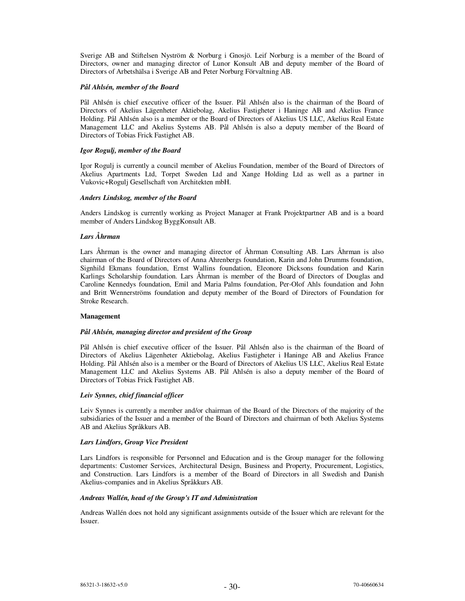Sverige AB and Stiftelsen Nyström & Norburg i Gnosjö. Leif Norburg is a member of the Board of Directors, owner and managing director of Lunor Konsult AB and deputy member of the Board of Directors of Arbetshälsa i Sverige AB and Peter Norburg Förvaltning AB.

## *Pål Ahlsén, member of the Board*

Pål Ahlsén is chief executive officer of the Issuer. Pål Ahlsén also is the chairman of the Board of Directors of Akelius Lägenheter Aktiebolag, Akelius Fastigheter i Haninge AB and Akelius France Holding. Pål Ahlsén also is a member or the Board of Directors of Akelius US LLC, Akelius Real Estate Management LLC and Akelius Systems AB. Pål Ahlsén is also a deputy member of the Board of Directors of Tobias Frick Fastighet AB.

### *Igor Rogulj, member of the Board*

Igor Rogulj is currently a council member of Akelius Foundation, member of the Board of Directors of Akelius Apartments Ltd, Torpet Sweden Ltd and Xange Holding Ltd as well as a partner in Vukovic+Rogulj Gesellschaft von Architekten mbH.

## *Anders Lindskog, member of the Board*

Anders Lindskog is currently working as Project Manager at Frank Projektpartner AB and is a board member of Anders Lindskog ByggKonsult AB.

## *Lars Åhrman*

Lars Åhrman is the owner and managing director of Åhrman Consulting AB. Lars Åhrman is also chairman of the Board of Directors of Anna Ahrenbergs foundation, Karin and John Drumms foundation, Signhild Ekmans foundation, Ernst Wallins foundation, Eleonore Dicksons foundation and Karin Karlings Scholarship foundation. Lars Åhrman is member of the Board of Directors of Douglas and Caroline Kennedys foundation, Emil and Maria Palms foundation, Per-Olof Ahls foundation and John and Britt Wennerströms foundation and deputy member of the Board of Directors of Foundation for Stroke Research.

## **Management**

## *Pål Ahlsén, managing director and president of the Group*

Pål Ahlsén is chief executive officer of the Issuer. Pål Ahlsén also is the chairman of the Board of Directors of Akelius Lägenheter Aktiebolag, Akelius Fastigheter i Haninge AB and Akelius France Holding. Pål Ahlsén also is a member or the Board of Directors of Akelius US LLC, Akelius Real Estate Management LLC and Akelius Systems AB. Pål Ahlsén is also a deputy member of the Board of Directors of Tobias Frick Fastighet AB.

## *Leiv Synnes, chief financial officer*

Leiv Synnes is currently a member and/or chairman of the Board of the Directors of the majority of the subsidiaries of the Issuer and a member of the Board of Directors and chairman of both Akelius Systems AB and Akelius Språkkurs AB.

## *Lars Lindfors, Group Vice President*

Lars Lindfors is responsible for Personnel and Education and is the Group manager for the following departments: Customer Services, Architectural Design, Business and Property, Procurement, Logistics, and Construction. Lars Lindfors is a member of the Board of Directors in all Swedish and Danish Akelius-companies and in Akelius Språkkurs AB.

## *Andreas Wallén, head of the Group's IT and Administration*

Andreas Wallén does not hold any significant assignments outside of the Issuer which are relevant for the Issuer.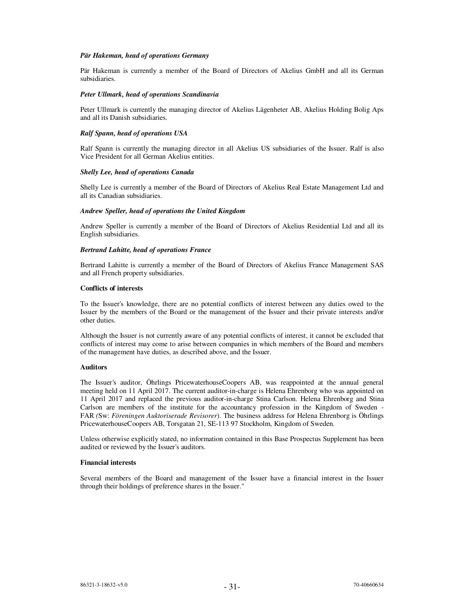#### *Pär Hakeman, head of operations Germany*

Pär Hakeman is currently a member of the Board of Directors of Akelius GmbH and all its German subsidiaries.

### *Peter Ullmark, head of operations Scandinavia*

Peter Ullmark is currently the managing director of Akelius Lägenheter AB, Akelius Holding Bolig Aps and all its Danish subsidiaries.

### *Ralf Spann, head of operations USA*

Ralf Spann is currently the managing director in all Akelius US subsidiaries of the Issuer. Ralf is also Vice President for all German Akelius entities.

#### *Shelly Lee, head of operations Canada*

Shelly Lee is currently a member of the Board of Directors of Akelius Real Estate Management Ltd and all its Canadian subsidiaries.

### *Andrew Speller, head of operations the United Kingdom*

Andrew Speller is currently a member of the Board of Directors of Akelius Residential Ltd and all its English subsidiaries.

### *Bertrand Lahitte, head of operations France*

Bertrand Lahitte is currently a member of the Board of Directors of Akelius France Management SAS and all French property subsidiaries.

#### **Conflicts of interests**

To the Issuer's knowledge, there are no potential conflicts of interest between any duties owed to the Issuer by the members of the Board or the management of the Issuer and their private interests and/or other duties.

Although the Issuer is not currently aware of any potential conflicts of interest, it cannot be excluded that conflicts of interest may come to arise between companies in which members of the Board and members of the management have duties, as described above, and the Issuer.

## **Auditors**

The Issuer's auditor, Öhrlings PricewaterhouseCoopers AB, was reappointed at the annual general meeting held on 11 April 2017. The current auditor-in-charge is Helena Ehrenborg who was appointed on 11 April 2017 and replaced the previous auditor-in-charge Stina Carlson. Helena Ehrenborg and Stina Carlson are members of the institute for the accountancy profession in the Kingdom of Sweden - FAR *(*Sw: *Föreningen Auktoriserade Revisorer*). The business address for Helena Ehrenborg is Öhrlings PricewaterhouseCoopers AB, Torsgatan 21, SE-113 97 Stockholm, Kingdom of Sweden.

Unless otherwise explicitly stated, no information contained in this Base Prospectus Supplement has been audited or reviewed by the Issuer's auditors.

#### **Financial interests**

Several members of the Board and management of the Issuer have a financial interest in the Issuer through their holdings of preference shares in the Issuer."